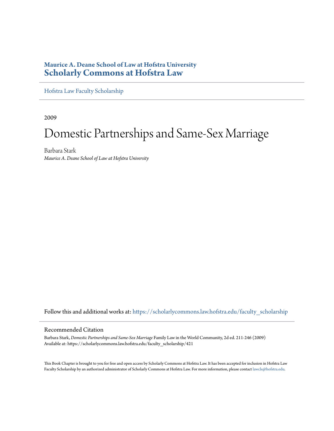# **Maurice A. Deane School of Law at Hofstra University [Scholarly Commons at Hofstra Law](https://scholarlycommons.law.hofstra.edu?utm_source=scholarlycommons.law.hofstra.edu%2Ffaculty_scholarship%2F421&utm_medium=PDF&utm_campaign=PDFCoverPages)**

[Hofstra Law Faculty Scholarship](https://scholarlycommons.law.hofstra.edu/faculty_scholarship?utm_source=scholarlycommons.law.hofstra.edu%2Ffaculty_scholarship%2F421&utm_medium=PDF&utm_campaign=PDFCoverPages)

2009

# Domestic Partnerships and Same-Sex Marriage

Barbara Stark *Maurice A. Deane School of Law at Hofstra University*

Follow this and additional works at: [https://scholarlycommons.law.hofstra.edu/faculty\\_scholarship](https://scholarlycommons.law.hofstra.edu/faculty_scholarship?utm_source=scholarlycommons.law.hofstra.edu%2Ffaculty_scholarship%2F421&utm_medium=PDF&utm_campaign=PDFCoverPages)

### Recommended Citation

Barbara Stark, *Domestic Partnerships and Same-Sex Marriage* Family Law in the World Community, 2d ed. 211-246 (2009) Available at: https://scholarlycommons.law.hofstra.edu/faculty\_scholarship/421

This Book Chapter is brought to you for free and open access by Scholarly Commons at Hofstra Law. It has been accepted for inclusion in Hofstra Law Faculty Scholarship by an authorized administrator of Scholarly Commons at Hofstra Law. For more information, please contact [lawcls@hofstra.edu.](mailto:lawcls@hofstra.edu)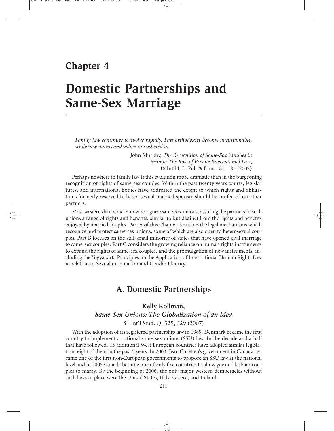# **Chapter 4**

# **Domestic Partnerships and Same-Sex Marriage**

*Family law continues to evolve rapidly. Past orthodoxies become unsustainable, while new norms and values are ushered in.*

> John Murphy, *The Recognition of Same-Sex Families in Britain: The Role of Private International Law*, 16 Int'l J. L. Pol. & Fam. 181, 185 (2002)

Perhaps nowhere in family law is this evolution more dramatic than in the burgeoning recognition of rights of same-sex couples. Within the past twenty years courts, legislatures, and international bodies have addressed the extent to which rights and obligations formerly reserved to heterosexual married spouses should be conferred on other partners.

Most western democracies now recognize same-sex unions, assuring the partners in such unions a range of rights and benefits, similar to but distinct from the rights and benefits enjoyed by married couples. Part A of this Chapter describes the legal mechanisms which recognize and protect same-sex unions, some of which are also open to heterosexual couples. Part B focuses on the still-small minority of states that have opened civil marriage to same-sex couples. Part C considers the growing reliance on human rights instruments to expand the rights of same-sex couples, and the promulgation of new instruments, including the Yogyakarta Principles on the Application of International Human Rights Law in relation to Sexual Orientation and Gender Identity.

# **A. Domestic Partnerships**

# **Kelly Kollman,**  *Same-Sex Unions: The Globalization of an Idea*

### 51 Int'l Stud. Q. 329, 329 (2007)

With the adoption of its registered partnership law in 1989, Denmark became the first country to implement a national same-sex unions (SSU) law. In the decade and a half that have followed, 15 additional West European countries have adopted similar legislation, eight of them in the past 5 years. In 2003, Jean Chrétien's government in Canada became one of the first non-European governments to propose an SSU law at the national level and in 2005 Canada became one of only five countries to allow gay and lesbian couples to marry. By the beginning of 2006, the only major western democracies without such laws in place were the United States, Italy, Greece, and Ireland.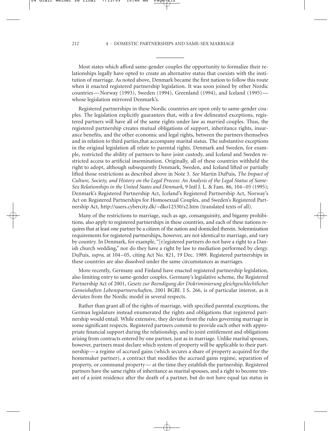Most states which afford same-gender couples the opportunity to formalize their relationships legally have opted to create an alternative status that coexists with the institution of marriage. As noted above, Denmark became the first nation to follow this route when it enacted registered partnership legislation. It was soon joined by other Nordic countries — Norway (1993), Sweden (1994), Greenland (1994), and Iceland (1995) whose legislation mirrored Denmark's.

—————

Registered partnerships in these Nordic countries are open only to same-gender couples. The legislation explicitly guarantees that, with a few delineated exceptions, registered partners will have all of the same rights under law as married couples. Thus, the registered partnership creates mutual obligations of support, inheritance rights, insurance benefits, and the other economic and legal rights, between the partners themselves and in relation to third parties,that accompany marital status. The substantive exceptions in the original legislation all relate to parental rights. Denmark and Sweden, for example, restricted the ability of partners to have joint custody, and Iceland and Sweden restricted access to artificial insemination. Originally, all of these countries withheld the right to adopt, although subsequently Denmark, Sweden, and Iceland lifted or partially lifted those restrictions as described above in Note 3. *See* Martin DuPuis, *The Impact of Culture, Society, and History on the Legal Process: An Analysis of the Legal Status of Same-Sex Relationships in the United States and Denmark,* 9 Intl J. L. & Fam. 86, 104–05 (1995); Denmark's Registered Partnership Act, Iceland's Registered Partnership Act, Norway's Act on Registered Partnerships for Homosexual Couples, and Sweden's Registered Partnership Act, http://users.cybercity.dk/~dko12530/s2.htm (translated texts of all).

Many of the restrictions to marriage, such as age, consanguinity, and bigamy prohibitions, also apply to registered partnerships in these countries, and each of these nations requires that at least one partner be a citizen of the nation and domiciled therein. Solemnization requirements for registered partnerships, however, are not identical to marriage, and vary by country. In Denmark, for example, "[r]egistered partners do not have a right to a Danish church wedding," nor do they have a right by law to mediation performed by clergy. DuPuis, *supra,* at 104–05, citing Act No. 821, 19 Dec. 1989. Registered partnerships in these countries are also dissolved under the same circumstances as marriages.

More recently, Germany and Finland have enacted registered partnership legislation, also limiting entry to same-gender couples. Germany's legislative scheme, the Registered Partnership Act of 2001, *Gesetz zur Beendigung der Diskriminierung gleichgeschlechtlicher Gemeishaften Lebenspartnerschaften,* 2001 BGBI. I S. 266, is of particular interest, as it deviates from the Nordic model in several respects.

Rather than grant all of the rights of marriage, with specified parental exceptions, the German legislature instead enumerated the rights and obligations that registered partnership would entail. While extensive, they deviate from the rules governing marriage in some significant respects. Registered partners commit to provide each other with appropriate financial support during the relationship, and to joint entitlement and obligations arising from contracts entered by one partner, just as in marriage. Unlike marital spouses, however, partners must declare which system of property will be applicable to their partnership — a regime of accrued gains (which secures a share of property acquired for the homemaker partner), a contract that modifies the accrued gains regime, separation of property, or communal property — at the time they establish the partnership. Registered partners have the same rights of inheritance as marital spouses, and a right to become tenant of a joint residence after the death of a partner, but do not have equal tax status in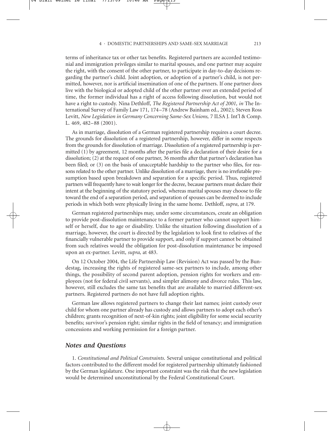terms of inheritance tax or other tax benefits. Registered partners are accorded testimonial and immigration privileges similar to marital spouses, and one partner may acquire the right, with the consent of the other partner, to participate in day-to-day decisions regarding the partner's child. Joint adoption, or adoption of a partner's child, is not permitted, however, nor is artificial insemination of one of the partners. If one partner does live with the biological or adopted child of the other partner over an extended period of time, the former individual has a right of access following dissolution, but would not have a right to custody. Nina Dethloff, *The Registered Partnership Act of 2001, in* The International Survey of Family Law 171, 174–78 (Andrew Bainham ed., 2002); Steven Ross Levitt, *New Legislation in Germany Concerning Same-Sex Unions,* 7 ILSA J. Int'l & Comp. L. 469, 482–88 (2001).

As in marriage, dissolution of a German registered partnership requires a court decree. The grounds for dissolution of a registered partnership, however, differ in some respects from the grounds for dissolution of marriage. Dissolution of a registered partnership is permitted (1) by agreement, 12 months after the parties file a declaration of their desire for a dissolution; (2) at the request of one partner, 36 months after that partner's declaration has been filed; or (3) on the basis of unacceptable hardship to the partner who files, for reasons related to the other partner. Unlike dissolution of a marriage, there is no irrefutable presumption based upon breakdown and separation for a specific period. Thus, registered partners will frequently have to wait longer for the decree, because partners must declare their intent at the beginning of the statutory period, whereas marital spouses may choose to file toward the end of a separation period, and separation of spouses can be deemed to include periods in which both were physically living in the same home. Dethloff, *supra*, at 179.

German registered partnerships may, under some circumstances, create an obligation to provide post-dissolution maintenance to a former partner who cannot support himself or herself, due to age or disability. Unlike the situation following dissolution of a marriage, however, the court is directed by the legislation to look first to relatives of the financially vulnerable partner to provide support, and only if support cannot be obtained from such relatives would the obligation for post-dissolution maintenance be imposed upon an ex-partner. Levitt, *supra,* at 483.

On 12 October 2004, the Life Partnership Law (Revision) Act was passed by the Bundestag, increasing the rights of registered same-sex partners to include, among other things, the possibility of second parent adoption, pension rights for workers and employees (not for federal civil servants), and simpler alimony and divorce rules. This law, however, still excludes the same tax benefits that are available to married different-sex partners. Registered partners do not have full adoption rights.

German law allows registered partners to change their last names; joint custody over child for whom one partner already has custody and allows partners to adopt each other's children; grants recognition of next-of-kin rights; joint eligibility for some social security benefits; survivor's pension right; similar rights in the field of tenancy; and immigration concessions and working permission for a foreign partner.

#### *Notes and Questions*

DIATI METHEL SE FINAL 1/13/09 10:40

1. *Constitutional and Political Constraints*. Several unique constitutional and political factors contributed to the different model for registered partnership ultimately fashioned by the German legislature. One important constraint was the risk that the new legislation would be determined unconstitutional by the Federal Constitutional Court.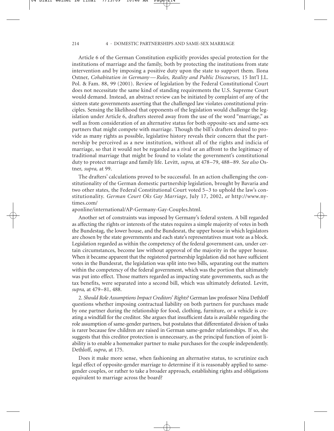Article 6 of the German Constitution explicitly provides special protection for the institutions of marriage and the family, both by protecting the institutions from state intervention and by imposing a positive duty upon the state to support them. Ilona Ostner, *Cohabitation in Germany — Rules, Reality and Public Discourses,* 15 Int'l J.L. Pol. & Fam. 88, 99 (2001). Review of legislation by the Federal Constitutional Court does not necessitate the same kind of standing requirements the U.S. Supreme Court would demand. Instead, an abstract review can be initiated by complaint of any of the sixteen state governments asserting that the challenged law violates constitutional principles. Sensing the likelihood that opponents of the legislation would challenge the legislation under Article 6, drafters steered away from the use of the word "marriage," as well as from consideration of an alternative status for both opposite-sex and same-sex partners that might compete with marriage. Though the bill's drafters desired to provide as many rights as possible, legislative history reveals their concern that the partnership be perceived as a new institution, without all of the rights and indicia of marriage, so that it would not be regarded as a rival or an affront to the legitimacy of traditional marriage that might be found to violate the government's constitutional duty to protect marriage and family life. Levitt, *supra,* at 478–79, 488–89. *See also* Ostner, *supra,* at 99.

The drafters' calculations proved to be successful. In an action challenging the constitutionality of the German domestic partnership legislation, brought by Bavaria and two other states, the Federal Constitutional Court voted 5–3 to uphold the law's constitutionality. *German Court Oks Gay Marriage*, July 17, 2002, *at* http://www.nytimes.com/

aponline/international/AP-Germany-Gay-Couples.html.

Another set of constraints was imposed by Germany's federal system. A bill regarded as affecting the rights or interests of the states requires a simple majority of votes in both the Bundestag, the lower house, and the Bundesrat, the upper house in which legislators are chosen by the state governments and each state's representatives must vote as a block. Legislation regarded as within the competency of the federal government can, under certain circumstances, become law without approval of the majority in the upper house. When it became apparent that the registered partnership legislation did not have sufficient votes in the Bundesrat, the legislation was split into two bills, separating out the matters within the competency of the federal government, which was the portion that ultimately was put into effect. Those matters regarded as impacting state governments, such as the tax benefits, were separated into a second bill, which was ultimately defeated. Levitt, *supra,* at 479–81, 488.

2. *Should Role Assumptions Impact Creditors' Rights?* German law professor Nina Dethloff questions whether imposing contractual liability on both partners for purchases made by one partner during the relationship for food, clothing, furniture, or a vehicle is creating a windfall for the creditor. She argues that insufficient data is available regarding the role assumption of same-gender partners, but postulates that differentiated division of tasks is rarer because few children are raised in German same-gender relationships. If so, she suggests that this creditor protection is unnecessary, as the principal function of joint liability is to enable a homemaker partner to make purchases for the couple independently. Dethloff, *supra*, at 175.

Does it make more sense, when fashioning an alternative status, to scrutinize each legal effect of opposite-gender marriage to determine if it is reasonably applied to samegender couples, or rather to take a broader approach, establishing rights and obligations equivalent to marriage across the board?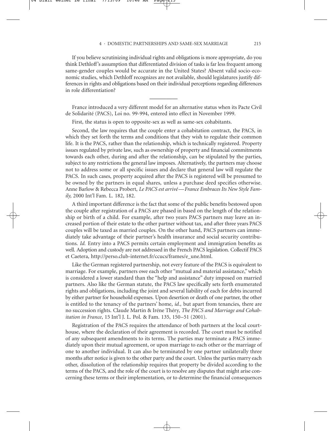04 blair weiner 2e final 7/13/09 10:46 AM Page 215

If you believe scrutinizing individual rights and obligations is more appropriate, do you think Dethloff's assumption that differentiated division of tasks is far less frequent among same-gender couples would be accurate in the United States? Absent valid socio-economic studies, which Dethloff recognizes are not available, should legislatures justify differences in rights and obligations based on their individual perceptions regarding differences in role differentiation?

France introduced a very different model for an alternative status when its Pacte Civil de Solidarité (PACS), Loi no. 99-994, entered into effect in November 1999.

—————

First, the status is open to opposite-sex as well as same-sex cohabitants.

Second, the law requires that the couple enter a cohabitation contract, the PACS, in which they set forth the terms and conditions that they wish to regulate their common life. It is the PACS, rather than the relationship, which is technically registered. Property issues regulated by private law, such as ownership of property and financial commitments towards each other, during and after the relationship, can be stipulated by the parties, subject to any restrictions the general law imposes. Alternatively, the partners may choose not to address some or all specific issues and declare that general law will regulate the PACS. In such cases, property acquired after the PACS is registered will be presumed to be owned by the partners in equal shares, unless a purchase deed specifies otherwise. Anne Barlow & Rebecca Probert, *Le PACS est arrivé—France Embraces Its New Style Family,* 2000 Int'l Fam. L. 182, 182.

A third important difference is the fact that some of the public benefits bestowed upon the couple after registration of a PACS are phased in based on the length of the relationship or birth of a child. For example, after two years PACS partners may leave an increased portion of their estate to the other partner without tax, and after three years PACS couples will be taxed as married couples. On the other hand, PACS partners can immediately take advantage of their partner's health insurance and social security contributions. *Id.* Entry into a PACS permits certain employment and immigration benefits as well. Adoption and custody are not addressed in the French PACS legislation. Collectif PACS et Caetera, http://perso.club-internet.fr/ccucs/frames/e\_une.html.

Like the German registered partnership, not every feature of the PACS is equivalent to marriage. For example, partners owe each other "mutual and material assistance," which is considered a lower standard than the "help and assistance" duty imposed on married partners. Also like the German statute, the PACS law specifically sets forth enumerated rights and obligations, including the joint and several liability of each for debts incurred by either partner for household expenses. Upon desertion or death of one partner, the other is entitled to the tenancy of the partners' home, *id.,* but apart from tenancies, there are no succession rights. Claude Martin & Iréne Théry, *The PACS and Marriage and Cohabitation in France*, 15 Int'l J. L. Pol. & Fam. 135, 150–51 (2001).

Registration of the PACS requires the attendance of both partners at the local courthouse, where the declaration of their agreement is recorded. The court must be notified of any subsequent amendments to its terms. The parties may terminate a PACS immediately upon their mutual agreement, or upon marriage to each other or the marriage of one to another individual. It can also be terminated by one partner unilaterally three months after notice is given to the other party and the court. Unless the parties marry each other, dissolution of the relationship requires that property be divided according to the terms of the PACS, and the role of the court is to resolve any disputes that might arise concerning these terms or their implementation, or to determine the financial consequences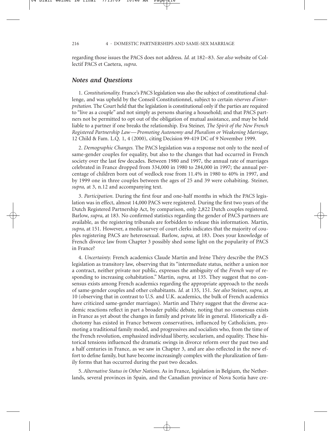regarding those issues the PACS does not address. *Id.* at 182–83. *See also* website of Collectif PACS et Caetera, *supra*.

#### *Notes and Questions*

1. *Constitutionality.* France's PACS legislation was also the subject of constitutional challenge, and was upheld by the Conseil Constitutionnel, subject to certain *réserves d'interprétation.* The Court held that the legislation is constitutional only if the parties are required to "live as a couple" and not simply as persons sharing a household; and that PACS partners not be permitted to opt out of the obligation of mutual assistance, and may be held liable to a partner if one breaks the relationship. Eva Steiner, *The Spirit of the New French Registered Partnership Law—Promoting Autonomy and Pluralism or Weakening Marriage*, 12 Child & Fam. L.Q. 1, 4 (2000), citing Decision 99-419 DC of 9 November 1999.

2. *Demographic Changes.* The PACS legislation was a response not only to the need of same-gender couples for equality, but also to the changes that had occurred in French society over the last few decades. Between 1980 and 1997, the annual rate of marriages celebrated in France dropped from 334,000 in 1980 to 284,000 in 1997; the annual percentage of children born out of wedlock rose from 11.4% in 1980 to 40% in 1997, and by 1999 one in three couples between the ages of 25 and 39 were cohabiting. Steiner, *supra,* at 3, n.12 and accompanying text.

3. *Participation.* During the first four and one-half months in which the PACS legislation was in effect, almost 14,000 PACS were registered. During the first two years of the Dutch Registered Partnership Act, by comparison, only 2,822 Dutch couples registered. Barlow, *supra,* at 183. No confirmed statistics regarding the gender of PACS partners are available, as the registering tribunals are forbidden to release this information. Martin, *supra,* at 151. However, a media survey of court clerks indicates that the majority of couples registering PACS are heterosexual. Barlow, *supra,* at 183. Does your knowledge of French divorce law from Chapter 3 possibly shed some light on the popularity of PACS in France?

4. *Uncertainty.* French academics Claude Martin and Iréne Théry describe the PACS legislation as transitory law, observing that its "intermediate status, neither a union nor a contract, neither private nor public, expresses the ambiguity of the *French way* of responding to increasing cohabitation." Martin, *supra,* at 135. They suggest that no consensus exists among French academics regarding the appropriate approach to the needs of same-gender couples and other cohabitants. *Id.* at 135, 151. *See also* Steiner, *supra,* at 10 (observing that in contrast to U.S. and U.K. academics, the bulk of French academics have criticized same-gender marriages). Martin and Théry suggest that the diverse academic reactions reflect in part a broader public debate, noting that no consensus exists in France as yet about the changes in family and private life in general. Historically a dichotomy has existed in France between conservatives, influenced by Catholicism, promoting a traditional family model, and progressives and socialists who, from the time of the French revolution, emphasized individual liberty, secularism, and equality. These historical tensions influenced the dramatic swings in divorce reform over the past two and a half centuries in France, as we saw in Chapter 3, and are also reflected in the new effort to define family, but have become increasingly complex with the pluralization of family forms that has occurred during the past two decades.

5. *Alternative Status in Other Nations.* As in France, legislation in Belgium, the Netherlands, several provinces in Spain, and the Canadian province of Nova Scotia have cre-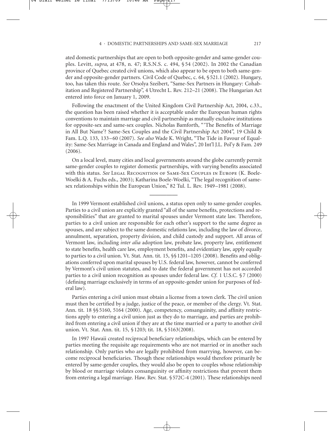prair weiner 26 final 1/13/09 10:40

ated domestic partnerships that are open to both opposite-gender and same-gender couples. Levitt, *supra,* at 478, n. 47; R.S.N.S. c. 494, § 54 (2002). In 2002 the Canadian province of Quebec created civil unions, which also appear to be open to both same-gender and opposite-gender partners. Civil Code of Quebec, c. 64, § 521.1 (2002). Hungary, too, has taken this route. *See* Orsolya Szeibert, "Same-Sex Partners in Hungary: Cohabitation and Registered Partnership", 4 Utrecht L. Rev. 212–21 (2008). The Hungarian Act entered into force on January 1, 2009.

Following the enactment of the United Kingdom Civil Partnership Act, 2004, c.33., the question has been raised whether it is acceptable under the European human rights conventions to maintain marriage and civil partnership as mutually exclusive institutions for opposite-sex and same-sex couples. Nicholas Bamforth, "'The Benefits of Marriage in All But Name'? Same-Sex Couples and the Civil Partnership Act 2004", 19 Child & Fam. L.Q. 133, 133–60 (2007). *See also* Wade K. Wright, "The Tide in Favour of Equality: Same-Sex Marriage in Canada and England and Wales", 20 Int'l J.L. Pol'y & Fam. 249 (2006).

On a local level, many cities and local governments around the globe currently permit same-gender couples to register domestic partnerships, with varying benefits associated with this status. *See* Legal Recognition of Same-Sex Couples in Europe (K. Boele-Woelki & A. Fuchs eds., 2003); Katharina Boele-Woelki, "The legal recognition of samesex relationships within the European Union," 82 Tul. L. Rev. 1949–1981 (2008).

—————

In 1999 Vermont established civil unions, a status open only to same-gender couples. Parties to a civil union are explicitly granted "all of the same benefits, protections and responsibilities" that are granted to marital spouses under Vermont state law. Therefore, parties to a civil union are responsible for each other's support to the same degree as spouses, and are subject to the same domestic relations law, including the law of divorce, annulment, separation, property division, and child custody and support. All areas of Vermont law, including *inter alia* adoption law, probate law, property law, entitlement to state benefits, health care law, employment benefits, and evidentiary law, apply equally to parties to a civil union. Vt. Stat. Ann. tit. 15, §§1201–1205 (2008). Benefits and obligations conferred upon marital spouses by U.S. federal law, however, cannot be conferred by Vermont's civil union statutes, and to date the federal government has not accorded parties to a civil union recognition as spouses under federal law. *Cf*. 1 U.S.C. § 7 (2000) (defining marriage exclusively in terms of an opposite-gender union for purposes of federal law).

Parties entering a civil union must obtain a license from a town clerk. The civil union must then be certified by a judge, justice of the peace, or member of the clergy. Vt. Stat. Ann. tit. 18 §§ 5160, 5164 (2000). Age, competency, consanguinity, and affinity restrictions apply to entering a civil union just as they do to marriage, and parties are prohibited from entering a civil union if they are at the time married or a party to another civil union. Vt. Stat. Ann. tit. 15, § 1203; tit. 18, § 5163(2008).

In 1997 Hawaii created reciprocal beneficiary relationships, which can be entered by parties meeting the requisite age requirements who are not married or in another such relationship. Only parties who are legally prohibited from marrying, however, can become reciprocal beneficiaries. Though these relationships would therefore primarily be entered by same-gender couples, they would also be open to couples whose relationship by blood or marriage violates consanguinity or affinity restrictions that prevent them from entering a legal marriage. Haw. Rev. Stat. §572C-4 (2001). These relationships need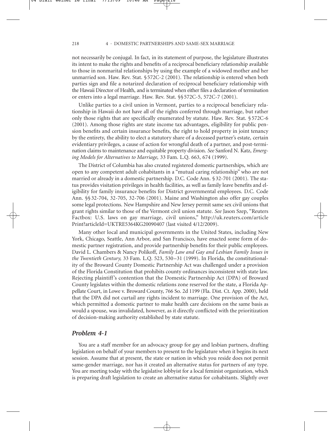not necessarily be conjugal. In fact, in its statement of purpose, the legislature illustrates its intent to make the rights and benefits of a reciprocal beneficiary relationship available to those in nonmarital relationships by using the example of a widowed mother and her unmarried son. Haw. Rev. Stat. § 572C-2 (2001). The relationship is entered when both parties sign and file a notarized declaration of reciprocal beneficiary relationship with the Hawaii Director of Health, and is terminated when either files a declaration of termination or enters into a legal marriage. Haw. Rev. Stat. §§ 572C-5, 572C-7 (2001).

Unlike parties to a civil union in Vermont, parties to a reciprocal beneficiary relationship in Hawaii do not have all of the rights conferred through marriage, but rather only those rights that are specifically enumerated by statute. Haw. Rev. Stat. § 572C-6 (2001). Among those rights are state income tax advantages, eligibility for public pension benefits and certain insurance benefits, the right to hold property in joint tenancy by the entirety, the ability to elect a statutory share of a deceased partner's estate, certain evidentiary privileges, a cause of action for wrongful death of a partner, and post-termination claims to maintenance and equitable property division. *See* Sanford N. Katz, *Emerging Models for Alternatives to Marriage,* 33 Fam. L.Q. 663, 674 (1999).

The District of Columbia has also created registered domestic partnerships, which are open to any competent adult cohabitants in a "mutual caring relationship" who are not married or already in a domestic partnership. D.C. Code Ann. § 32-701 (2001). The status provides visitation privileges in health facilities, as well as family leave benefits and eligibility for family insurance benefits for District governmental employees. D.C. Code Ann. §§ 32-704, 32-705, 32-706 (2001). Maine and Washington also offer gay couples some legal protections. New Hampshire and New Jersey permit same sex civil unions that grant rights similar to those of the Vermont civil union statute. *See* Jason Szep, "Reuters Factbox: U.S. laws on gay marriage, civil unions," http://uk.reuters.com/article Print?articleId=UKTRE5364KG20090407 (last visited 4/12/2009).

Many other local and municipal governments in the United States, including New York, Chicago, Seattle, Ann Arbor, and San Francisco, have enacted some form of domestic partner registration, and provide partnership benefits for their public employees. David L. Chambers & Nancy Polikoff, *Family Law and Gay and Lesbian Family Issues in the Twentieth Century,* 33 Fam. L.Q. 523, 530–31 (1999). In Florida, the constitutionality of the Broward County Domestic Partnership Act was challenged under a provision of the Florida Constitution that prohibits county ordinances inconsistent with state law. Rejecting plaintiff's contention that the Domestic Partnership Act (DPA) of Broward County legislates within the domestic relations zone reserved for the state, a Florida Appellate Court, in Lowe v. Broward County, 766 So. 2d 1199 (Fla. Dist. Ct. App. 2000), held that the DPA did not curtail any rights incident to marriage. One provision of the Act, which permitted a domestic partner to make health care decisions on the same basis as would a spouse, was invalidated, however, as it directly conflicted with the prioritization of decision-making authority established by state statute.

#### *Problem 4-1*

You are a staff member for an advocacy group for gay and lesbian partners, drafting legislation on behalf of your members to present to the legislature when it begins its next session. Assume that at present, the state or nation in which you reside does not permit same-gender marriage, nor has it created an alternative status for partners of any type. You are meeting today with the legislative lobbyist for a local feminist organization, which is preparing draft legislation to create an alternative status for cohabitants. Slightly over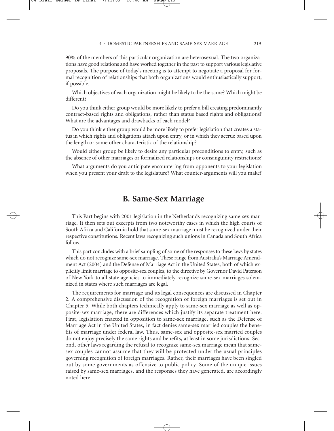04 blair weiner 2e final 7/13/09 10:46 AM Page 219

90% of the members of this particular organization are heterosexual. The two organizations have good relations and have worked together in the past to support various legislative proposals. The purpose of today's meeting is to attempt to negotiate a proposal for formal recognition of relationships that both organizations would enthusiastically support, if possible.

Which objectives of each organization might be likely to be the same? Which might be different?

Do you think either group would be more likely to prefer a bill creating predominantly contract-based rights and obligations, rather than status based rights and obligations? What are the advantages and drawbacks of each model?

Do you think either group would be more likely to prefer legislation that creates a status in which rights and obligations attach upon entry, or in which they accrue based upon the length or some other characteristic of the relationship?

Would either group be likely to desire any particular preconditions to entry, such as the absence of other marriages or formalized relationships or consanguinity restrictions?

What arguments do you anticipate encountering from opponents to your legislation when you present your draft to the legislature? What counter-arguments will you make?

# **B. Same-Sex Marriage**

This Part begins with 2001 legislation in the Netherlands recognizing same-sex marriage. It then sets out excerpts from two noteworthy cases in which the high courts of South Africa and California hold that same-sex marriage must be recognized under their respective constitutions. Recent laws recognizing such unions in Canada and South Africa follow.

This part concludes with a brief sampling of some of the responses to these laws by states which do not recognize same-sex marriage. These range from Australia's Marriage Amendment Act (2004) and the Defense of Marriage Act in the United States, both of which explicitly limit marriage to opposite-sex couples, to the directive by Governor David Paterson of New York to all state agencies to immediately recognize same-sex marriages solemnized in states where such marriages are legal.

The requirements for marriage and its legal consequences are discussed in Chapter 2. A comprehensive discussion of the recognition of foreign marriages is set out in Chapter 5. While both chapters technically apply to same-sex marriage as well as opposite-sex marriage, there are differences which justify its separate treatment here. First, legislation enacted in opposition to same-sex marriage, such as the Defense of Marriage Act in the United States, in fact denies same-sex married couples the benefits of marriage under federal law. Thus, same-sex and opposite-sex married couples do not enjoy precisely the same rights and benefits, at least in some jurisdictions. Second, other laws regarding the refusal to recognize same-sex marriage mean that samesex couples cannot assume that they will be protected under the usual principles governing recognition of foreign marriages. Rather, their marriages have been singled out by some governments as offensive to public policy. Some of the unique issues raised by same-sex marriages, and the responses they have generated, are accordingly noted here.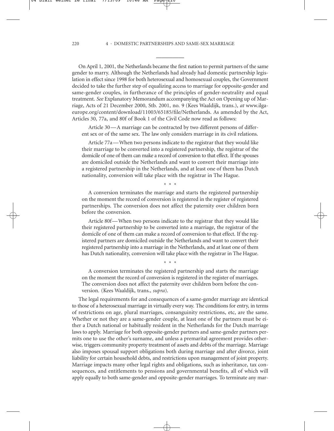—————

On April 1, 2001, the Netherlands became the first nation to permit partners of the same gender to marry. Although the Netherlands had already had domestic partnership legislation in effect since 1998 for both heterosexual and homosexual couples, the Government decided to take the further step of equalizing access to marriage for opposite-gender and same-gender couples, in furtherance of the principles of gender-neutrality and equal treatment. *See* Explanatory Memorandum accompanying the Act on Opening up of Marriage, Acts of 21 December 2000, Stb. 2001, no. 9 (Kees Waaldijk, trans.), *at* www.ilgaeurope.org/content/download/11003/65185/file/Netherlands. As amended by the Act, Articles 30, 77a, and 80f of Book 1 of the Civil Code now read as follows:

Article 30—A marriage can be contracted by two different persons of different sex or of the same sex. The law only considers marriage in its civil relations.

Article 77a — When two persons indicate to the registrar that they would like their marriage to be converted into a registered partnership, the registrar of the domicile of one of them can make a record of conversion to that effect. If the spouses are domiciled outside the Netherlands and want to convert their marriage into a registered partnership in the Netherlands, and at least one of them has Dutch nationality, conversion will take place with the registrar in The Hague.

\*\*\*

A conversion terminates the marriage and starts the registered partnership on the moment the record of conversion is registered in the register of registered partnerships. The conversion does not affect the paternity over children born before the conversion.

Article 80f—When two persons indicate to the registrar that they would like their registered partnership to be converted into a marriage, the registrar of the domicile of one of them can make a record of conversion to that effect. If the registered partners are domiciled outside the Netherlands and want to convert their registered partnership into a marriage in the Netherlands, and at least one of them has Dutch nationality, conversion will take place with the registrar in The Hague.

A conversion terminates the registered partnership and starts the marriage on the moment the record of conversion is registered in the register of marriages. The conversion does not affect the paternity over children born before the conversion. (Kees Waaldijk, trans., *supra*).

\*\*\*

The legal requirements for and consequences of a same-gender marriage are identical to those of a heterosexual marriage in virtually every way. The conditions for entry, in terms of restrictions on age, plural marriages, consanguinity restrictions, etc, are the same. Whether or not they are a same-gender couple, at least one of the partners must be either a Dutch national or habitually resident in the Netherlands for the Dutch marriage laws to apply. Marriage for both opposite-gender partners and same-gender partners permits one to use the other's surname, and unless a premarital agreement provides otherwise, triggers community property treatment of assets and debts of the marriage. Marriage also imposes spousal support obligations both during marriage and after divorce, joint liability for certain household debts, and restrictions upon management of joint property. Marriage impacts many other legal rights and obligations, such as inheritance, tax consequences, and entitlements to pensions and governmental benefits, all of which will apply equally to both same-gender and opposite-gender marriages. To terminate any mar-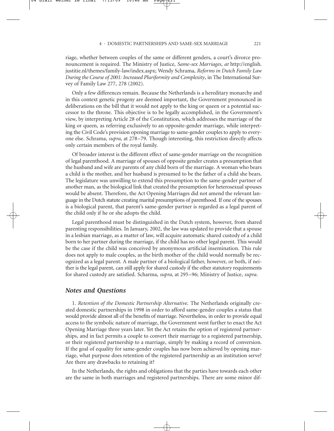riage, whether between couples of the same or different genders, a court's divorce pronouncement is required. The Ministry of Justice, *Same-sex Marriages*, *at* http://english. justitie.nl/themes/family-law/index.aspx; Wendy Schrama, *Reforms in Dutch Family Law During the Course of 2001: Increased Pluriformity and Complexity*, in The International Survey of Family Law 277, 278 (2002).

Only a few differences remain. Because the Netherlands is a hereditary monarchy and in this context genetic progeny are deemed important, the Government pronounced in deliberations on the bill that it would not apply to the king or queen or a potential successor to the throne. This objective is to be legally accomplished, in the Government's view, by interpreting Article 28 of the Constitution, which addresses the marriage of the king or queen, as referring exclusively to an opposite-gender marriage, while interpreting the Civil Code's provision opening marriage to same-gender couples to apply to everyone else. Schrama, *supra,* at 278–79. Though interesting, this restriction directly affects only certain members of the royal family.

Of broader interest is the different effect of same-gender marriage on the recognition of legal parenthood. A marriage of spouses of opposite gender creates a presumption that the husband and wife are parents of any child born of the marriage. A woman who bears a child is the mother, and her husband is presumed to be the father of a child she bears. The legislature was unwilling to extend this presumption to the same-gender partner of another man, as the biological link that created the presumption for heterosexual spouses would be absent. Therefore, the Act Opening Marriages did not amend the relevant language in the Dutch statute creating marital presumptions of parenthood. If one of the spouses is a biological parent, that parent's same-gender partner is regarded as a legal parent of the child only if he or she adopts the child.

Legal parenthood must be distinguished in the Dutch system, however, from shared parenting responsibilities. In January, 2002, the law was updated to provide that a spouse in a lesbian marriage, as a matter of law, will acquire automatic shared custody of a child born to her partner during the marriage, if the child has no other legal parent. This would be the case if the child was conceived by anonymous artificial insemination. This rule does not apply to male couples, as the birth mother of the child would normally be recognized as a legal parent. A male partner of a biological father, however, or both, if neither is the legal parent, can still apply for shared custody if the other statutory requirements for shared custody are satisfied. Scharma, *supra,* at 295–96; Ministry of Justice, *supra*.

#### *Notes and Questions*

04 blair weiner 2e final 7/13/09 10:46 AM Page 221

1. *Retention of the Domestic Partnership Alternative*. The Netherlands originally created domestic partnerships in 1998 in order to afford same-gender couples a status that would provide almost all of the benefits of marriage. Nevertheless, in order to provide equal access to the symbolic nature of marriage, the Government went further to enact the Act Opening Marriage three years later. Yet the Act retains the option of registered partnerships, and in fact permits a couple to convert their marriage to a registered partnership, or their registered partnership to a marriage, simply by making a record of conversion. If the goal of equality for same-gender couples has now been achieved by opening marriage, what purpose does retention of the registered partnership as an institution serve? Are there any drawbacks to retaining it?

In the Netherlands, the rights and obligations that the parties have towards each other are the same in both marriages and registered partnerships. There are some minor dif-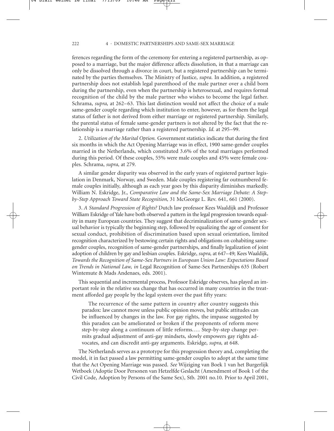ferences regarding the form of the ceremony for entering a registered partnership, as opposed to a marriage, but the major difference affects dissolution, in that a marriage can only be dissolved through a divorce in court, but a registered partnership can be terminated by the parties themselves. The Ministry of Justice, *supra.* In addition, a registered partnership does not establish legal parenthood of the male partner over a child born during the partnership, even when the partnership is heterosexual, and requires formal recognition of the child by the male partner who wishes to become the legal father. Schrama, *supra,* at 262–63. This last distinction would not affect the choice of a male same-gender couple regarding which institution to enter, however, as for them the legal status of father is not derived from either marriage or registered partnership. Similarly, the parental status of female same-gender partners is not altered by the fact that the relationship is a marriage rather than a registered partnership. *Id.* at 295–99.

2. *Utilization of the Marital Option.* Government statistics indicate that during the first six months in which the Act Opening Marriage was in effect, 1900 same-gender couples married in the Netherlands, which constituted 3.6% of the total marriages performed during this period. Of these couples, 55% were male couples and 45% were female couples. Schrama, *supra,* at 279.

A similar gender disparity was observed in the early years of registered partner legislation in Denmark, Norway, and Sweden. Male couples registering far outnumbered female couples initially, although as each year goes by this disparity diminishes markedly. William N. Eskridge, Jr., *Comparative Law and the Same-Sex Marriage Debate: A Stepby-Step Approach Toward State Recognition,* 31 McGeorge L. Rev. 641, 661 (2000).

3. *A Standard Progression of Rights?* Dutch law professor Kees Waaldijk and Professor William Eskridge of Yale have both observed a pattern in the legal progression towards equality in many European countries. They suggest that decriminalization of same-gender sexual behavior is typically the beginning step, followed by equalizing the age of consent for sexual conduct, prohibition of discrimination based upon sexual orientation, limited recognition characterized by bestowing certain rights and obligations on cohabiting samegender couples, recognition of same-gender partnerships, and finally legalization of joint adoption of children by gay and lesbian couples. Eskridge, *supra,* at 647–49; Kees Waaldijk, *Towards the Recognition of Same-Sex Partners in European Union Law: Expectations Based on Trends in National Law, in* Legal Recognition of Same-Sex Partnerships 635 (Robert Wintemute & Mads Andenaes, eds. 2001).

This sequential and incremental process, Professor Eskridge observes, has played an important role in the relative sea change that has occurred in many countries in the treatment afforded gay people by the legal system over the past fifty years:

The recurrence of the same pattern in country after country suggests this paradox: law cannot move unless public opinion moves, but public attitudes can be influenced by changes in the law. For gay rights, the impasse suggested by this paradox can be ameliorated or broken if the proponents of reform move step-by-step along a continuum of little reforms. . . . Step-by-step change permits gradual adjustment of anti-gay mindsets, slowly empowers gay rights advocates, and can discredit anti-gay arguments. Eskridge, *supra,* at 648.

The Netherlands serves as a prototype for this progression theory and, completing the model, it in fact passed a law permitting same-gender couples to adopt at the same time that the Act Opening Marriage was passed. *See* Wijziging van Boek 1 van het Burgerlijk Wetboek (Adoptie Door Personen van Hetzelfde Geslacht (Amendment of Book 1 of the Civil Code, Adoption by Persons of the Same Sex), Stb. 2001 no.10. Prior to April 2001,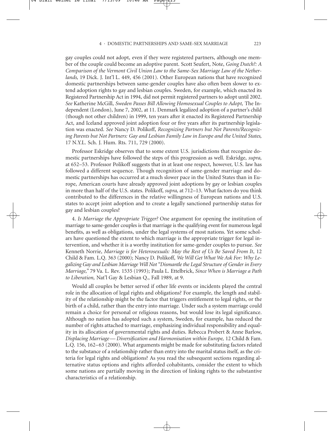brair weiner ze final 1/13/09 10:40

gay couples could not adopt, even if they were registered partners, although one member of the couple could become an adoptive parent. Scott Seufert, Note, *Going Dutch?: A Comparison of the Vermont Civil Union Law to the Same-Sex Marriage Law of the Netherlands,* 19 Dick. J. Int'l L. 449, 456 (2001). Other European nations that have recognized domestic partnerships between same-gender couples have also often been slower to extend adoption rights to gay and lesbian couples. Sweden, for example, which enacted its Registered Partnership Act in 1994, did not permit registered partners to adopt until 2002. *See* Katherine McGill, *Sweden Passes Bill Allowing Homosexual Couples to Adopt,* The Independent (London), June 7, 2002, at 11. Denmark legalized adoption of a partner's child (though not other children) in 1999, ten years after it enacted its Registered Partnership Act, and Iceland approved joint adoption four or five years after its partnership legislation was enacted. *See* Nancy D. Polikoff, *Recognizing Partners but Not Parents/Recognizing Parents but Not Partners: Gay and Lesbian Family Law in Europe and the United States,* 17 N.Y.L. Sch. J. Hum. Rts. 711, 729 (2000).

Professor Eskridge observes that to some extent U.S. jurisdictions that recognize domestic partnerships have followed the steps of this progression as well. Eskridge, *supra,* at 652–53. Professor Polikoff suggests that in at least one respect, however, U*.*S. law has followed a different sequence. Though recognition of same-gender marriage and domestic partnerships has occurred at a much slower pace in the United States than in Europe, American courts have already approved joint adoptions by gay or lesbian couples in more than half of the U.S. states. Polikoff, *supra,* at 712–13. What factors do you think contributed to the differences in the relative willingness of European nations and U.S. states to accept joint adoption and to create a legally sanctioned partnership status for gay and lesbian couples?

4. *Is Marriage the Appropriate Trigger?* One argument for opening the institution of marriage to same-gender couples is that marriage is the qualifying event for numerous legal benefits, as well as obligations, under the legal systems of most nations. Yet some scholars have questioned the extent to which marriage is the appropriate trigger for legal intervention, and whether it is a worthy institution for same-gender couples to pursue. *See* Kenneth Norrie, *Marriage is for Heterosexuals: May the Rest of Us Be Saved From It*, 12 Child & Fam. L.Q. 363 (2000); Nancy D. Polikoff, *We Will Get What We Ask For: Why Legalizing Gay and Lesbian Marriage Will Not "Dismantle the Legal Structure of Gender in Every Marriage,"* 79 Va. L. Rev. 1535 (1993); Paula L. Ettelbrick, *Since When is Marriage a Path to Liberation,* Nat'l Gay & Lesbian Q., Fall 1989, at 9.

Would all couples be better served if other life events or incidents played the central role in the allocation of legal rights and obligations? For example, the length and stability of the relationship might be the factor that triggers entitlement to legal rights, or the birth of a child, rather than the entry into marriage. Under such a system marriage could remain a choice for personal or religious reasons, but would lose its legal significance. Although no nation has adopted such a system, Sweden, for example, has reduced the number of rights attached to marriage, emphasizing individual responsibility and equality in its allocation of governmental rights and duties. Rebecca Probert & Anne Barlow, *Displacing Marriage— Diversification and Harmonisation within Europe,* 12 Child & Fam. L.Q. 156, 162–63 (2000). What arguments might be made for substituting factors related to the substance of a relationship rather than entry into the marital status itself, as the criteria for legal rights and obligations? As you read the subsequent sections regarding alternative status options and rights afforded cohabitants, consider the extent to which some nations are partially moving in the direction of linking rights to the substantive characteristics of a relationship.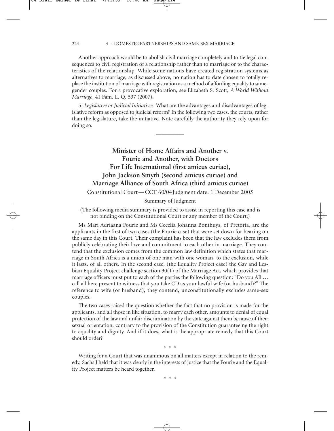Another approach would be to abolish civil marriage completely and to tie legal consequences to civil registration of a relationship rather than to marriage or to the characteristics of the relationship. While some nations have created registration systems as alternatives to marriage, as discussed above, no nation has to date chosen to totally replace the institution of marriage with registration as a method of affording equality to samegender couples. For a provocative exploration, see Elizabeth S. Scott, *A World Without Marriage*, 41 Fam. L. Q. 537 (2007).

5. *Legislative or Judicial Initiatives.* What are the advantages and disadvantages of legislative reform as opposed to judicial reform? In the following two cases, the courts, rather than the legislature, take the initiative. Note carefully the authority they rely upon for doing so.

—————

# **Minister of Home Affairs and Another v. Fourie and Another, with Doctors For Life International (first amicus curiae), John Jackson Smyth (second amicus curiae) and Marriage Alliance of South Africa (third amicus curiae)**

Constitutional Court— CCT 60/04Judgment date: 1 December 2005

#### Summary of Judgment

(The following media summary is provided to assist in reporting this case and is not binding on the Constitutional Court or any member of the Court.)

Ms Mari Adriaana Fourie and Ms Cecelia Johanna Bonthuys, of Pretoria, are the applicants in the first of two cases (the Fourie case) that were set down for hearing on the same day in this Court. Their complaint has been that the law excludes them from publicly celebrating their love and commitment to each other in marriage. They contend that the exclusion comes from the common law definition which states that marriage in South Africa is a union of one man with one woman, to the exclusion, while it lasts, of all others. In the second case, (the Equality Project case) the Gay and Lesbian Equality Project challenge section 30(1) of the Marriage Act, which provides that marriage officers must put to each of the parties the following question: "Do you AB ... call all here present to witness that you take CD as your lawful wife (or husband)?" The reference to wife (or husband), they contend, unconstitutionally excludes same-sex couples.

The two cases raised the question whether the fact that no provision is made for the applicants, and all those in like situation, to marry each other, amounts to denial of equal protection of the law and unfair discrimination by the state against them because of their sexual orientation, contrary to the provision of the Constitution guaranteeing the right to equality and dignity. And if it does, what is the appropriate remedy that this Court should order?

Writing for a Court that was unanimous on all matters except in relation to the remedy, Sachs J held that it was clearly in the interests of justice that the Fourie and the Equality Project matters be heard together.

\*\*\*

\*\*\*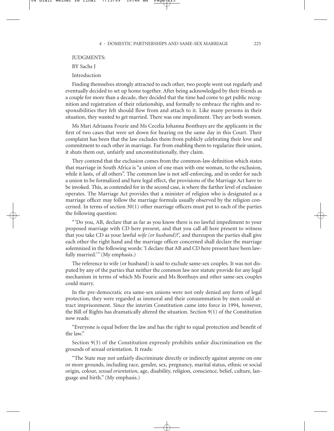#### JUDGMENTS:

04 blair weiner 2e final 7/13/09 10:46 AM Page 225

BY Sachs J

#### Introduction

Finding themselves strongly attracted to each other, two people went out regularly and eventually decided to set up home together. After being acknowledged by their friends as a couple for more than a decade, they decided that the time had come to get public recognition and registration of their relationship, and formally to embrace the rights and responsibilities they felt should flow from and attach to it. Like many persons in their situation, they wanted to get married. There was one impediment. They are both women.

Ms Mari Adriaana Fourie and Ms Cecelia Johanna Bonthuys are the applicants in the first of two cases that were set down for hearing on the same day in this Court. Their complaint has been that the law excludes them from publicly celebrating their love and commitment to each other in marriage. Far from enabling them to regularize their union, it shuts them out, unfairly and unconstitutionally, they claim.

They contend that the exclusion comes from the common-law definition which states that marriage in South Africa is "a union of one man with one woman, to the exclusion, while it lasts, of all others". The common law is not self-enforcing, and in order for such a union to be formalized and have legal effect, the provisions of the Marriage Act have to be invoked. This, as contended for in the second case, is where the further level of exclusion operates. The Marriage Act provides that a minister of religion who is designated as a marriage officer may follow the marriage formula usually observed by the religion concerned. In terms of section  $30(1)$  other marriage officers must put to each of the parties the following question:

"'Do you, AB, declare that as far as you know there is no lawful impediment to your proposed marriage with CD here present, and that you call all here present to witness that you take CD as your lawful *wife (or husband)*?', and thereupon the parties shall give each other the right hand and the marriage officer concerned shall declare the marriage solemnized in the following words: 'I declare that AB and CD here present have been lawfully married.'" (My emphasis.)

The reference to wife (or husband) is said to exclude same-sex couples. It was not disputed by any of the parties that neither the common law nor statute provide for any legal mechanism in terms of which Ms Fourie and Ms Bonthuys and other same-sex couples could marry.

In the pre-democratic era same-sex unions were not only denied any form of legal protection, they were regarded as immoral and their consummation by men could attract imprisonment. Since the interim Constitution came into force in 1994, however, the Bill of Rights has dramatically altered the situation. Section 9(1) of the Constitution now reads:

"Everyone is equal before the law and has the right to equal protection and benefit of the law."

Section 9(3) of the Constitution expressly prohibits unfair discrimination on the grounds of sexual orientation. It reads:

"The State may not unfairly discriminate directly or indirectly against anyone on one or more grounds, including race, gender, sex, pregnancy, marital status, ethnic or social origin, colour, *sexual orientation*, age, disability, religion, conscience, belief, culture, language and birth." (My emphasis.)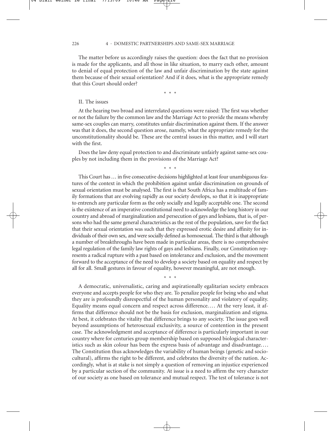The matter before us accordingly raises the question: does the fact that no provision is made for the applicants, and all those in like situation, to marry each other, amount to denial of equal protection of the law and unfair discrimination by the state against them because of their sexual orientation? And if it does, what is the appropriate remedy that this Court should order?

\*\*\*

#### II. The issues

At the hearing two broad and interrelated questions were raised: The first was whether or not the failure by the common law and the Marriage Act to provide the means whereby same-sex couples can marry, constitutes unfair discrimination against them. If the answer was that it does, the second question arose, namely, what the appropriate remedy for the unconstitutionality should be. These are the central issues in this matter, and I will start with the first.

Does the law deny equal protection to and discriminate unfairly against same-sex couples by not including them in the provisions of the Marriage Act?

\*\*\*

This Court has ... in five consecutive decisions highlighted at least four unambiguous features of the context in which the prohibition against unfair discrimination on grounds of sexual orientation must be analysed. The first is that South Africa has a multitude of family formations that are evolving rapidly as our society develops, so that it is inappropriate to entrench any particular form as the only socially and legally acceptable one. The second is the existence of an imperative constitutional need to acknowledge the long history in our country and abroad of marginalization and persecution of gays and lesbians, that is, of persons who had the same general characteristics as the rest of the population, save for the fact that their sexual orientation was such that they expressed erotic desire and affinity for individuals of their own sex, and were socially defined as homosexual. The third is that although a number of breakthroughs have been made in particular areas, there is no comprehensive legal regulation of the family law rights of gays and lesbians. Finally, our Constitution represents a radical rupture with a past based on intolerance and exclusion, and the movement forward to the acceptance of the need to develop a society based on equality and respect by all for all. Small gestures in favour of equality, however meaningful, are not enough.

A democratic, universalistic, caring and aspirationally egalitarian society embraces everyone and accepts people for who they are. To penalize people for being who and what they are is profoundly disrespectful of the human personality and violatory of equality. Equality means equal concern and respect across difference. . . . At the very least, it affirms that difference should not be the basis for exclusion, marginalization and stigma. At best, it celebrates the vitality that difference brings to any society. The issue goes well beyond assumptions of heterosexual exclusivity, a source of contention in the present case. The acknowledgment and acceptance of difference is particularly important in our country where for centuries group membership based on supposed biological characteristics such as skin colour has been the express basis of advantage and disadvantage.... The Constitution thus acknowledges the variability of human beings (genetic and sociocultural), affirms the right to be different, and celebrates the diversity of the nation. Accordingly, what is at stake is not simply a question of removing an injustice experienced by a particular section of the community. At issue is a need to affirm the very character of our society as one based on tolerance and mutual respect. The test of tolerance is not

\*\*\*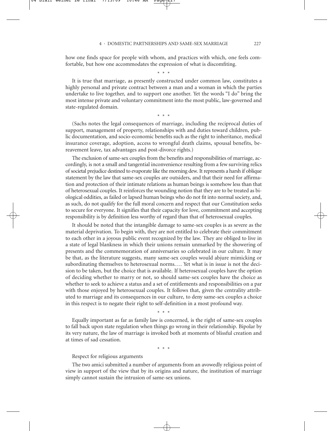04 blair weiner 2e final 7/13/09 10:46 AM Page 227

how one finds space for people with whom, and practices with which, one feels comfortable, but how one accommodates the expression of what is discomfiting.

\*\*\*

It is true that marriage, as presently constructed under common law, constitutes a highly personal and private contract between a man and a woman in which the parties undertake to live together, and to support one another. Yet the words "I do" bring the most intense private and voluntary commitment into the most public, law-governed and state-regulated domain.

\*\*\*

(Sachs notes the legal consequences of marriage, including the reciprocal duties of support, management of property, relationships with and duties toward children, public documentation, and socio-economic benefits such as the right to inheritance, medical insurance coverage, adoption, access to wrongful death claims, spousal benefits, bereavement leave, tax advantages and post-divorce rights.)

The exclusion of same-sex couples from the benefits and responsibilities of marriage, accordingly, is not a small and tangential inconvenience resulting from a few surviving relics of societal prejudice destined to evaporate like the morning dew. It represents a harsh if oblique statement by the law that same-sex couples are outsiders, and that their need for affirmation and protection of their intimate relations as human beings is somehow less than that of heterosexual couples. It reinforces the wounding notion that they are to be treated as biological oddities, as failed or lapsed human beings who do not fit into normal society, and, as such, do not qualify for the full moral concern and respect that our Constitution seeks to secure for everyone. It signifies that their capacity for love, commitment and accepting responsibility is by definition less worthy of regard than that of heterosexual couples.

It should be noted that the intangible damage to same-sex couples is as severe as the material deprivation. To begin with, they are not entitled to celebrate their commitment to each other in a joyous public event recognized by the law. They are obliged to live in a state of legal blankness in which their unions remain unmarked by the showering of presents and the commemoration of anniversaries so celebrated in our culture. It may be that, as the literature suggests, many same-sex couples would abjure mimicking or subordinating themselves to heterosexual norms. . . . Yet what is in issue is not the decision to be taken, but the choice that is available. If heterosexual couples have the option of deciding whether to marry or not, so should same-sex couples have the choice as whether to seek to achieve a status and a set of entitlements and responsibilities on a par with those enjoyed by heterosexual couples. It follows that, given the centrality attributed to marriage and its consequences in our culture, to deny same-sex couples a choice in this respect is to negate their right to self-definition in a most profound way.

\*\*\*

Equally important as far as family law is concerned, is the right of same-sex couples to fall back upon state regulation when things go wrong in their relationship. Bipolar by its very nature, the law of marriage is invoked both at moments of blissful creation and at times of sad cessation.

\*\*\*

#### Respect for religious arguments

The two amici submitted a number of arguments from an avowedly religious point of view in support of the view that by its origins and nature, the institution of marriage simply cannot sustain the intrusion of same-sex unions.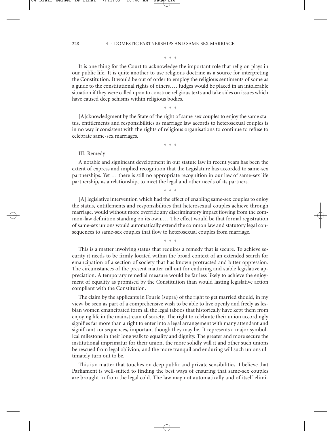#### \*\*\*

It is one thing for the Court to acknowledge the important role that religion plays in our public life. It is quite another to use religious doctrine as a source for interpreting the Constitution. It would be out of order to employ the religious sentiments of some as a guide to the constitutional rights of others. . . . Judges would be placed in an intolerable situation if they were called upon to construe religious texts and take sides on issues which have caused deep schisms within religious bodies.

\*\*\*

[A]cknowledgment by the State of the right of same-sex couples to enjoy the same status, entitlements and responsibilities as marriage law accords to heterosexual couples is in no way inconsistent with the rights of religious organisations to continue to refuse to celebrate same-sex marriages.

\*\*\*

#### III. Remedy

A notable and significant development in our statute law in recent years has been the extent of express and implied recognition that the Legislature has accorded to same-sex partnerships. Yet . . . there is still no appropriate recognition in our law of same-sex life partnership, as a relationship, to meet the legal and other needs of its partners.

\*\*\*

[A] legislative intervention which had the effect of enabling same-sex couples to enjoy the status, entitlements and responsibilities that heterosexual couples achieve through marriage, would without more override any discriminatory impact flowing from the common-law definition standing on its own. . . . The effect would be that formal registration of same-sex unions would automatically extend the common law and statutory legal consequences to same-sex couples that flow to heterosexual couples from marriage.

\*\*\*

This is a matter involving status that requires a remedy that is secure. To achieve security it needs to be firmly located within the broad context of an extended search for emancipation of a section of society that has known protracted and bitter oppression. The circumstances of the present matter call out for enduring and stable legislative appreciation. A temporary remedial measure would be far less likely to achieve the enjoyment of equality as promised by the Constitution than would lasting legislative action compliant with the Constitution.

The claim by the applicants in Fourie (supra) of the right to get married should, in my view, be seen as part of a comprehensive wish to be able to live openly and freely as lesbian women emancipated form all the legal taboos that historically have kept them from enjoying life in the mainstream of society. The right to celebrate their union accordingly signifies far more than a right to enter into a legal arrangement with many attendant and significant consequences, important though they may be. It represents a major symbolical milestone in their long walk to equality and dignity. The greater and more secure the institutional imprimatur for their union, the more solidly will it and other such unions be rescued from legal oblivion, and the more tranquil and enduring will such unions ultimately turn out to be.

This is a matter that touches on deep public and private sensibilities. I believe that Parliament is well-suited to finding the best ways of ensuring that same-sex couples are brought in from the legal cold. The law may not automatically and of itself elimi-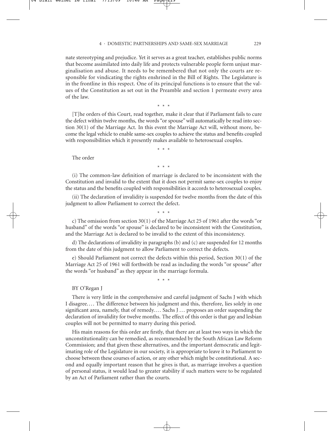nate stereotyping and prejudice. Yet it serves as a great teacher, establishes public norms that become assimilated into daily life and protects vulnerable people form unjust marginalisation and abuse. It needs to be remembered that not only the courts are responsible for vindicating the rights enshrined in the Bill of Rights. The Legislature is in the frontline in this respect. One of its principal functions is to ensure that the values of the Constitution as set out in the Preamble and section 1 permeate every area of the law.

\*\*\*

[T]he orders of this Court, read together, make it clear that if Parliament fails to cure the defect within twelve months, the words "or spouse" will automatically be read into section 30(1) of the Marriage Act. In this event the Marriage Act will, without more, become the legal vehicle to enable same-sex couples to achieve the status and benefits coupled with responsibilities which it presently makes available to heterosexual couples.

\*\*\*

The order

04 blair weiner 2e final 7/13/09 10:46 AM Page 229

\*\*\*

(i) The common-law definition of marriage is declared to be inconsistent with the Constitution and invalid to the extent that it does not permit same-sex couples to enjoy the status and the benefits coupled with responsibilities it accords to heterosexual couples.

(ii) The declaration of invalidity is suspended for twelve months from the date of this judgment to allow Parliament to correct the defect.

\*\*\*

c) The omission from section 30(1) of the Marriage Act 25 of 1961 after the words "or husband" of the words "or spouse" is declared to be inconsistent with the Constitution, and the Marriage Act is declared to be invalid to the extent of this inconsistency.

d) The declarations of invalidity in paragraphs (b) and (c) are suspended for 12 months from the date of this judgment to allow Parliament to correct the defects.

e) Should Parliament not correct the defects within this period, Section 30(1) of the Marriage Act 25 of 1961 will forthwith be read as including the words "or spouse" after the words "or husband" as they appear in the marriage formula.

\*\*\*

#### BY O'Regan J

There is very little in the comprehensive and careful judgment of Sachs J with which I disagree.... The difference between his judgment and this, therefore, lies solely in one significant area, namely, that of remedy.... Sachs J ... proposes an order suspending the declaration of invalidity for twelve months. The effect of this order is that gay and lesbian couples will not be permitted to marry during this period.

His main reasons for this order are firstly, that there are at least two ways in which the unconstitutionality can be remedied, as recommended by the South African Law Reform Commission; and that given these alternatives, and the important democratic and legitimating role of the Legislature in our society, it is appropriate to leave it to Parliament to choose between these courses of action, or any other which might be constitutional. A second and equally important reason that he gives is that, as marriage involves a question of personal status, it would lead to greater stability if such matters were to be regulated by an Act of Parliament rather than the courts.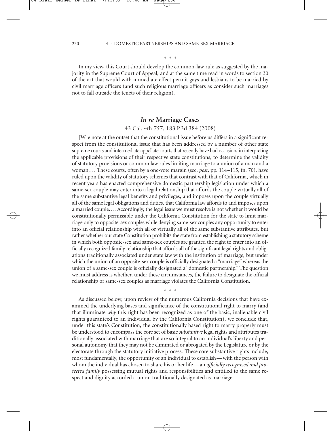\*\*\*

In my view, this Court should develop the common-law rule as suggested by the majority in the Supreme Court of Appeal, and at the same time read in words to section 30 of the act that would with immediate effect permit gays and lesbians to be married by civil marriage officers (and such religious marriage officers as consider such marriages not to fall outside the tenets of their religion).

### *In re* **Marriage Cases**

—————

#### 43 Cal. 4th 757, 183 P.3d 384 (2008)

[W]e note at the outset that the constitutional issue before us differs in a significant respect from the constitutional issue that has been addressed by a number of other state supreme courts and intermediate appellate courts that recently have had occasion, in interpreting the applicable provisions of their respective state constitutions, to determine the validity of statutory provisions or common law rules limiting marriage to a union of a man and a woman.... These courts, often by a one-vote margin (see, *post*, pp. 114–115, fn. 70), have ruled upon the validity of statutory schemes that contrast with that of California, which in recent years has enacted comprehensive domestic partnership legislation under which a same-sex couple may enter into a legal relationship that affords the couple virtually all of the same substantive legal benefits and privileges, and imposes upon the couple virtually all of the same legal obligations and duties, that California law affords to and imposes upon a married couple.... Accordingly, the legal issue we must resolve is not whether it would be constitutionally permissible under the California Constitution for the state to limit marriage only to opposite-sex couples while denying same-sex couples any opportunity to enter into an official relationship with all or virtually all of the same substantive attributes, but rather whether our state Constitution prohibits the state from establishing a statutory scheme in which both opposite-sex and same-sex couples are granted the right to enter into an officially recognized family relationship that affords all of the significant legal rights and obligations traditionally associated under state law with the institution of marriage, but under which the union of an opposite-sex couple is officially designated a "marriage" whereas the union of a same-sex couple is officially designated a "domestic partnership." The question we must address is whether, under these circumstances, the failure to designate the official relationship of same-sex couples as marriage violates the California Constitution.

As discussed below, upon review of the numerous California decisions that have examined the underlying bases and significance of the constitutional right to marry (and that illuminate *why* this right has been recognized as one of the basic, inalienable civil rights guaranteed to an individual by the California Constitution), we conclude that, under this state's Constitution, the constitutionally based right to marry properly must be understood to encompass the core set of basic *substantive* legal rights and attributes traditionally associated with marriage that are so integral to an individual's liberty and personal autonomy that they may not be eliminated or abrogated by the Legislature or by the electorate through the statutory initiative process. These core substantive rights include, most fundamentally, the opportunity of an individual to establish—with the person with whom the individual has chosen to share his or her life — an *officially recognized and protected family* possessing mutual rights and responsibilities and entitled to the same respect and dignity accorded a union traditionally designated as marriage....

\*\*\*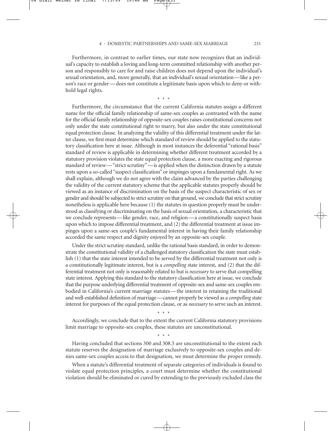04 blair weiner 2e final 7/13/09 10:46 AM Page 231

Furthermore, in contrast to earlier times, our state now recognizes that an individual's capacity to establish a loving and long-term committed relationship with another person and responsibly to care for and raise children does not depend upon the individual's sexual orientation, and, more generally, that an individual's sexual orientation—like a person's race or gender—does not constitute a legitimate basis upon which to deny or withhold legal rights.

\*\*\* Furthermore, the circumstance that the current California statutes assign a different name for the official family relationship of same-sex couples as contrasted with the name for the official family relationship of opposite-sex couples raises constitutional concerns not only under the state constitutional right to marry, but also under the state constitutional equal protection clause. In analyzing the validity of this differential treatment under the latter clause, we first must determine which standard of review should be applied to the statutory classification here at issue. Although in most instances the deferential "rational basis" standard of review is applicable in determining whether different treatment accorded by a statutory provision violates the state equal protection clause, a more exacting and rigorous standard of review—"strict scrutiny"—is applied when the distinction drawn by a statute rests upon a so-called "suspect classification" or impinges upon a fundamental right. As we shall explain, although we do not agree with the claim advanced by the parties challenging the validity of the current statutory scheme that the applicable statutes properly should be viewed as an instance of discrimination on the basis of the suspect characteristic of sex or gender and should be subjected to strict scrutiny on that ground, we conclude that strict scrutiny nonetheless is applicable here because (1) the statutes in question properly must be understood as classifying or discriminating on the basis of sexual orientation, a characteristic that we conclude represents—like gender, race, and religion—a constitutionally suspect basis upon which to impose differential treatment, and (2) the differential treatment at issue impinges upon a same-sex couple's fundamental interest in having their family relationship accorded the same respect and dignity enjoyed by an opposite-sex couple.

Under the strict scrutiny standard, unlike the rational basis standard, in order to demonstrate the constitutional validity of a challenged statutory classification the state must establish (1) that the state interest intended to be served by the differential treatment not only is a constitutionally legitimate interest, but is a *compelling* state interest, and (2) that the differential treatment not only is reasonably related to but is *necessary* to serve that compelling state interest. Applying this standard to the statutory classification here at issue, we conclude that the purpose underlying differential treatment of opposite-sex and same-sex couples embodied in California's current marriage statutes—the interest in retaining the traditional and well-established definition of marriage—cannot properly be viewed as a *compelling* state interest for purposes of the equal protection clause, or as *necessary* to serve such an interest.

\*\*\*

Accordingly, we conclude that to the extent the current California statutory provisions limit marriage to opposite-sex couples, these statutes are unconstitutional.

\*\*\*

Having concluded that sections 300 and 308.5 are unconstitutional to the extent each statute reserves the designation of marriage exclusively to opposite-sex couples and denies same-sex couples access to that designation, we must determine the proper remedy.

When a statute's differential treatment of separate categories of individuals is found to violate equal protection principles, a court must determine whether the constitutional violation should be eliminated or cured by extending to the previously excluded class the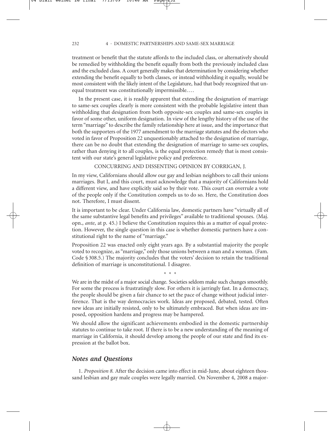treatment or benefit that the statute affords to the included class, or alternatively should be remedied by withholding the benefit equally from both the previously included class and the excluded class. A court generally makes that determination by considering whether extending the benefit equally to both classes, or instead withholding it equally, would be most consistent with the likely intent of the Legislature, had that body recognized that unequal treatment was constitutionally impermissible....

In the present case, it is readily apparent that extending the designation of marriage to same-sex couples clearly is more consistent with the probable legislative intent than withholding that designation from both opposite-sex couples and same-sex couples in favor of some other, uniform designation. In view of the lengthy history of the use of the term "marriage" to describe the family relationship here at issue, and the importance that both the supporters of the 1977 amendment to the marriage statutes and the electors who voted in favor of Proposition 22 unquestionably attached to the designation of marriage, there can be no doubt that extending the designation of marriage to same-sex couples, rather than denying it to all couples, is the equal protection remedy that is most consistent with our state's general legislative policy and preference.

CONCURRING AND DISSENTING OPINION BY CORRIGAN, J.

In my view, Californians should allow our gay and lesbian neighbors to call their unions marriages. But I, and this court, must acknowledge that a majority of Californians hold a different view, and have explicitly said so by their vote. This court can overrule a vote of the people only if the Constitution compels us to do so. Here, the Constitution does not. Therefore, I must dissent.

It is important to be clear. Under California law, domestic partners have "virtually all of the same substantive legal benefits and privileges" available to traditional spouses. (Maj. opn., *ante*, at p. 45.) I believe the Constitution requires this as a matter of equal protection. However, the single question in this case is whether domestic partners have a constitutional right to the name of "marriage."

Proposition 22 was enacted only eight years ago. By a substantial majority the people voted to recognize, as "marriage," only those unions between a man and a woman. (Fam. Code § 308.5.) The majority concludes that the voters' decision to retain the traditional definition of marriage is unconstitutional. I disagree.

\*\*\*

We are in the midst of a major social change. Societies seldom make such changes smoothly. For some the process is frustratingly slow. For others it is jarringly fast. In a democracy, the people should be given a fair chance to set the pace of change without judicial interference. That is the way democracies work. Ideas are proposed, debated, tested. Often new ideas are initially resisted, only to be ultimately embraced. But when ideas are imposed, opposition hardens and progress may be hampered.

We should allow the significant achievements embodied in the domestic partnership statutes to continue to take root. If there is to be a new understanding of the meaning of marriage in California, it should develop among the people of our state and find its expression at the ballot box.

#### *Notes and Questions*

1. *Proposition 8.* After the decision came into effect in mid-June, about eighteen thousand lesbian and gay male couples were legally married. On November 4, 2008 a major-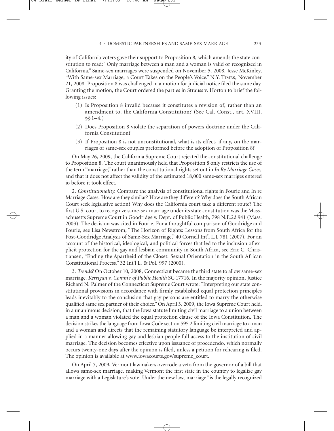04 blair weiner 2e final 7/13/09 10:46 AM Page 233

ity of California voters gave their support to Proposition 8, which amends the state constitution to read: "Only marriage between a man and a woman is valid or recognized in California." Same-sex marriages were suspended on November 5, 2008. Jesse McKinley, "With Same-sex Marriage, a Court Takes on the People's Voice." N.Y. Times, November 21, 2008. Proposition 8 was challenged in a motion for judicial notice filed the same day. Granting the motion, the Court ordered the parties in Strauss v. Horton to brief the following issues:

- (1) Is Proposition 8 invalid because it constitutes a revision of, rather than an amendment to, the California Constitution? (See Cal. Const., art. XVIII,  $$§ 1-4.$
- (2) Does Proposition 8 violate the separation of powers doctrine under the California Constitution?
- (3) If Proposition 8 is not unconstitutional, what is its effect, if any, on the marriages of same-sex couples preformed before the adoption of Proposition 8?

On May 26, 2009, the California Supreme Court rejected the constitutional challenge to Proposition 8. The court unanimously held that Proposition 8 only restricts the use of the term "marriage," rather than the constitutional rights set out in *In Re Marriage Cases,* and that it does not affect the validity of the estimated 18,000 same-sex marriges entered io before it took effect.

2. *Constitutionality.* Compare the analysis of constitutional rights in Fourie and In re Marriage Cases. How are they similar? How are they different? Why does the South African Court seek legislative action? Why does the California court take a different route? The first U.S. court to recognize same-sex marriage under its state constitution was the Massachusetts Supreme Court in Goodridge v. Dept. of Public Health, 798 N.E.2d 941 (Mass. 2003). The decision was cited in Fourie. For a thoughtful comparison of Goodridge and Fourie, see Lisa Newstrom, "The Horizon of Rights: Lessons from South Africa for the Post-Goodridge Analysis of Same-Sex Marriage," 40 Cornell Int'l L.J. 781 (2007). For an account of the historical, ideological, and political forces that led to the inclusion of explicit protection for the gay and lesbian community in South Africa, see Eric C. Christiansen, "Ending the Apartheid of the Closet: Sexual Orientation in the South African Constitutional Process," 32 Int'l L. & Pol. 997 (2000).

3. *Trends?* On October 10, 2008, Connecticut became the third state to allow same-sex marriage. *Kerrigan v. Comm'r of Public Health* SC 17716. In the majority opinion, Justice Richard N. Palmer of the Connecticut Supreme Court wrote: "Interpreting our state constitutional provisions in accordance with firmly established equal protection principles leads inevitably to the conclusion that gay persons are entitled to marry the otherwise qualified same sex partner of their choice." On April 3, 2009, the Iowa Supreme Court held, in a unanimous decision, that the Iowa statute limiting civil marriage to a union between a man and a woman violated the equal protection clause of the Iowa Constitution. The decision strikes the language from Iowa Code section 595.2 limiting civil marriage to a man and a woman and directs that the remaining statutory language be interpreted and applied in a manner allowing gay and lesbian people full access to the institution of civil marriage. The decision becomes effective upon issuance of procedendo, which normally occurs twenty-one days after the opinion is filed, unless a petition for rehearing is filed. The opinion is available at www.iowacourts.gov/supreme\_court.

On April 7, 2009, Vermont lawmakers overrode a veto from the governor of a bill that allows same-sex marriage, making Vermont the first state in the country to legalize gay marriage with a Legislature's vote. Under the new law, marriage "is the legally recognized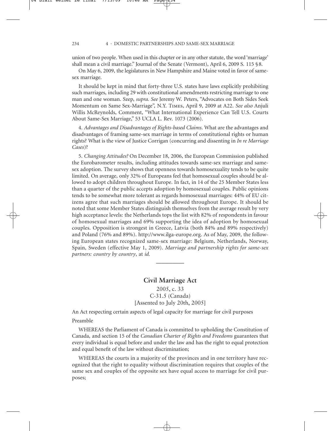union of two people. When used in this chapter or in any other statute, the word 'marriage' shall mean a civil marriage." Journal of the Senate (Vermont), April 6, 2009 S. 115 §8.

On May 6, 2009, the legislatures in New Hampshire and Maine voted in favor of samesex marriage.

It should be kept in mind that forty-three U.S. states have laws explicitly prohibiting such marriages, including 29 with constitutional amendments restricting marriage to one man and one woman. Szep, *supra. See* Jeremy W. Peters, "Advocates on Both Sides Seek Momentum on Same Sex-Marriage", N.Y. Times, April 9, 2009 at A22. *See also* Anjuli Willis McReynolds, Comment, "What International Experience Can Tell U.S. Courts About Same-Sex Marriage," 53 UCLA L. Rev. 1073 (2006).

4. *Advantages and Disadvantages of Rights-based Claims*. What are the advantages and disadvantages of framing same-sex marriage in terms of constitutional rights or human rights? What is the view of Justice Corrigan (concurring and dissenting in *In re Marriage Cases*)?

5. *Changing Attitudes?* On December 18, 2006, the European Commission published the Eurobarometer results, including attitudes towards same-sex marriage and samesex adoption. The survey shows that openness towards homosexuality tends to be quite limited. On average, only 32% of Europeans feel that homosexual couples should be allowed to adopt children throughout Europe. In fact, in 14 of the 25 Member States less than a quarter of the public accepts adoption by homosexual couples. Public opinions tends to be somewhat more tolerant as regards homosexual marriages: 44% of EU citizens agree that such marriages should be allowed throughout Europe. It should be noted that some Member States distinguish themselves from the average result by very high acceptance levels: the Netherlands tops the list with 82% of respondents in favour of homosexual marriages and 69% supporting the idea of adoption by homosexual couples. Opposition is strongest in Greece, Latvia (both 84% and 89% respectively) and Poland (76% and 89%). http://www.ilga-europe.org. As of May, 2009, the following European states recognized same-sex marriage: Belgium, Netherlands, Norway, Spain, Sweden (effective May 1, 2009). *Marriage and partnership rights for same-sex partners: country by country*, at *id.*

#### **Civil Marriage Act**

—————

### 2005, c. 33 C-31.5 (Canada) [Assented to July 20th, 2005]

An Act respecting certain aspects of legal capacity for marriage for civil purposes Preamble

WHEREAS the Parliament of Canada is committed to upholding the Constitution of Canada, and section 15 of the *Canadian Charter of Rights and Freedoms* guarantees that every individual is equal before and under the law and has the right to equal protection and equal benefit of the law without discrimination;

WHEREAS the courts in a majority of the provinces and in one territory have recognized that the right to equality without discrimination requires that couples of the same sex and couples of the opposite sex have equal access to marriage for civil purposes;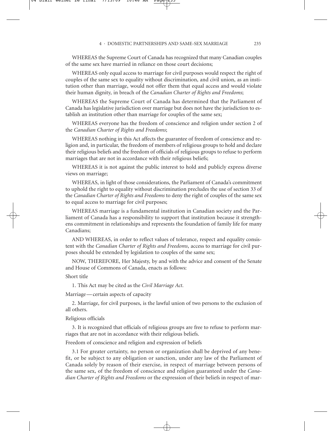WHEREAS the Supreme Court of Canada has recognized that many Canadian couples of the same sex have married in reliance on those court decisions;

WHEREAS only equal access to marriage for civil purposes would respect the right of couples of the same sex to equality without discrimination, and civil union, as an institution other than marriage, would not offer them that equal access and would violate their human dignity, in breach of the *Canadian Charter of Rights and Freedoms*;

WHEREAS the Supreme Court of Canada has determined that the Parliament of Canada has legislative jurisdiction over marriage but does not have the jurisdiction to establish an institution other than marriage for couples of the same sex;

WHEREAS everyone has the freedom of conscience and religion under section 2 of the *Canadian Charter of Rights and Freedoms*;

WHEREAS nothing in this Act affects the guarantee of freedom of conscience and religion and, in particular, the freedom of members of religious groups to hold and declare their religious beliefs and the freedom of officials of religious groups to refuse to perform marriages that are not in accordance with their religious beliefs;

WHEREAS it is not against the public interest to hold and publicly express diverse views on marriage;

WHEREAS, in light of those considerations, the Parliament of Canada's commitment to uphold the right to equality without discrimination precludes the use of section 33 of the *Canadian Charter of Rights and Freedoms* to deny the right of couples of the same sex to equal access to marriage for civil purposes;

WHEREAS marriage is a fundamental institution in Canadian society and the Parliament of Canada has a responsibility to support that institution because it strengthens commitment in relationships and represents the foundation of family life for many Canadians;

AND WHEREAS, in order to reflect values of tolerance, respect and equality consistent with the *Canadian Charter of Rights and Freedoms*, access to marriage for civil purposes should be extended by legislation to couples of the same sex;

NOW, THEREFORE, Her Majesty, by and with the advice and consent of the Senate and House of Commons of Canada, enacts as follows:

#### Short title

04 blair weiner 2e final 7/13/09 10:46 AM Page 235

1. This Act may be cited as the *Civil Marriage Act*.

Marriage — certain aspects of capacity

2. Marriage, for civil purposes, is the lawful union of two persons to the exclusion of all others.

#### Religious officials

3. It is recognized that officials of religious groups are free to refuse to perform marriages that are not in accordance with their religious beliefs.

#### Freedom of conscience and religion and expression of beliefs

3.1 For greater certainty, no person or organization shall be deprived of any benefit, or be subject to any obligation or sanction, under any law of the Parliament of Canada solely by reason of their exercise, in respect of marriage between persons of the same sex, of the freedom of conscience and religion guaranteed under the *Canadian Charter of Rights and Freedoms* or the expression of their beliefs in respect of mar-

⊕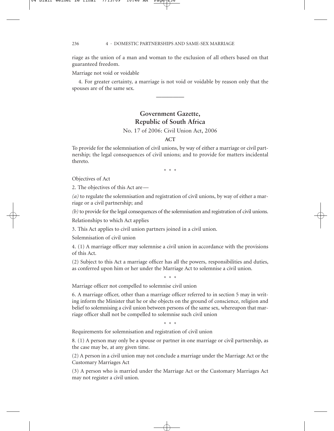riage as the union of a man and woman to the exclusion of all others based on that guaranteed freedom.

Marriage not void or voidable

4. For greater certainty, a marriage is not void or voidable by reason only that the spouses are of the same sex.

—————

# **Government Gazette, Republic of South Africa**

No. 17 of 2006: Civil Union Act, 2006

#### **ACT**

To provide for the solemnisation of civil unions, by way of either a marriage or civil partnership; the legal consequences of civil unions; and to provide for matters incidental thereto.

\*\*\*

Objectives of Act

2. The objectives of this Act are —

*(a)* to regulate the solemnisation and registration of civil unions, by way of either a marriage or a civil partnership; and

*(b)*to provide for the legal consequences of the solemnisation and registration of civil unions.

Relationships to which Act applies

3. This Act applies to civil union partners joined in a civil union.

Solemnisation of civil union

4. (1) A marriage officer may solemnise a civil union in accordance with the provisions of this Act.

(2) Subject to this Act a marriage officer has all the powers, responsibilities and duties, as conferred upon him or her under the Marriage Act to solemnise a civil union.

\*\*\* Marriage officer not compelled to solemnise civil union

6. A marriage officer, other than a marriage officer referred to in section 5 may in writing inform the Minister that he or she objects on the ground of conscience, religion and belief to solemnising a civil union between persons of the same sex, whereupon that marriage officer shall not be compelled to solemnise such civil union

\*\*\*

Requirements for solemnisation and registration of civil union

8*.* (1) A person may only be a spouse or partner in one marriage or civil partnership, as the case may be, at any given time.

(2) A person in a civil union may not conclude a marriage under the Marriage Act or the Customary Marriages Act

(3) A person who is married under the Marriage Act or the Customary Marriages Act may not register a civil union.

⊕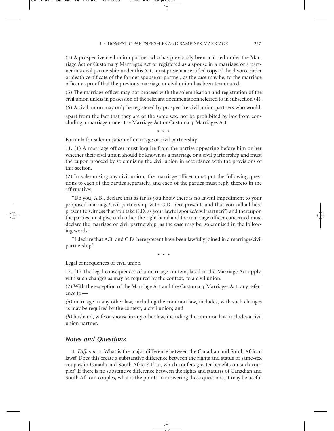(4) A prospective civil union partner who has previously been married under the Marriage Act or Customary Marriages Act or registered as a spouse in a marriage or a partner in a civil partnership under this Act, must present a certified copy of the divorce order or death certificate of the former spouse or partner, as the case may be, to the marriage officer as proof that the previous marriage or civil union has been terminated.

(5) The marriage officer may not proceed with the solemnisation and registration of the civil union unless in possession of the relevant documentation referred to in subsection (4).

(6) A civil union may only be registered by prospective civil union partners who would,

apart from the fact that they are of the same sex, not be prohibited by law from concluding a marriage under the Marriage Act or Customary Marriages Act.

\*\*\*

Formula for solemnisation of marriage or civil partnership

11. (1) A marriage officer must inquire from the parties appearing before him or her whether their civil union should be known as a marriage or a civil partnership and must thereupon proceed by solemnising the civil union in accordance with the provisions of this section.

(2) In solemnising any civil union, the marriage officer must put the following questions to each of the parties separately, and each of the parties must reply thereto in the affirmative:

"Do you, A.B., declare that as far as you know there is no lawful impediment to your proposed marriage/civil partnership with C.D. here present, and that you call all here present to witness that you take C.D. as your lawful spouse/civil partner?", and thereupon the parties must give each other the right hand and the marriage officer concerned must declare the marriage or civil partnership, as the case may be, solemnised in the following words:

"I declare that A.B. and C.D. here present have been lawfully joined in a marriage/civil partnership."

\*\*\*

Legal consequences of civil union

04 blair weiner 2e final 7/13/09 10:46 AM Page 237

13. (1) The legal consequences of a marriage contemplated in the Marriage Act apply, with such changes as may be required by the context, to a civil union.

(2) With the exception of the Marriage Act and the Customary Marriages Act, any reference to —

*(a)* marriage in any other law, including the common law, includes, with such changes as may be required by the context, a civil union; and

*(b)* husband, wife or spouse in any other law, including the common law, includes a civil union partner.

#### *Notes and Questions*

1. *Differences.* What is the major difference between the Canadian and South African laws? Does this create a substantive difference between the rights and status of same-sex couples in Canada and South Africa? If so, which confers greater benefits on such couples? If there is no substantive difference between the rights and statusss of Canadian and South African couples, what is the point? In answering these questions, it may be useful

⊕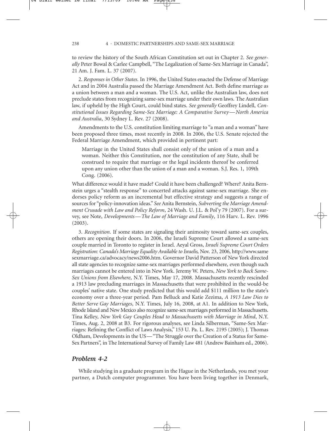to review the history of the South African Constitution set out in Chapter 2. *See generally* Peter Bowal & Carlee Campbell, "The Legalization of Same-Sex Marriage in Canada", 21 Am. J. Fam. L. 37 (2007).

2. *Responses in Other States*. In 1996, the United States enacted the Defense of Marriage Act and in 2004 Australia passed the Marriage Amendment Act. Both define marriage as a union between a man and a woman. The U.S. Act, unlike the Australian law, does not preclude states from recognizing same-sex marriage under their own laws. The Australian law, if upheld by the High Court, could bind states. *See generally* Geoffrey Lindell, *Constitutional Issues Regarding Same-Sex Marriage: A Comparative Survey — North America and Australia*, 30 Sydney L. Rev. 27 (2008).

Amendments to the U.S. constitution limiting marriage to "a man and a woman" have been proposed three times, most recently in 2008. In 2006, the U.S. Senate rejected the Federal Marriage Amendment, which provided in pertinent part:

Marriage in the United States shall consist only of the union of a man and a woman. Neither this Constitution, nor the constitution of any State, shall be construed to require that marriage or the legal incidents thereof be conferred upon any union other than the union of a man and a woman. S.J. Res. 1, 109th Cong. (2006).

What difference would it have made? Could it have been challenged? Where? Anita Bernstein urges a "stealth response" to concerted attacks against same-sex marriage. She endorses policy reform as an incremental but effective strategy and suggests a range of sources for "policy-innovation ideas." *See* Anita Bernstein, *Subverting the Marriage Amendment Crusade with Law and Policy Reform*, 24 Wash. U. J.L. & Pol'y 79 (2007). For a survey, see Note, *Developments — The Law of Marriage and Family*, 116 Harv. L. Rev. 1996 (2003).

3. *Recognition*. If some states are signaling their animosity toward same-sex couples, others are opening their doors. In 2006, the Israeli Supreme Court allowed a same-sex couple married in Toronto to register in Israel. Aeyal Gross, *Israeli Supreme Court Orders Registration: Canada's Marriage Equality Available to Israelis,* Nov. 23, 2006, http://www.same sexmarriage.ca/advocacy/news2006.htm. Governor David Patterson of New York directed all state agencies to recognize same-sex marriages performed elsewhere, even though such marriages cannot be entered into in New York. Jeremy W. Peters, *New York to Back Same-Sex Unions from Elsewhere*, N.Y. Times, May 17, 2008. Massachusetts recently rescinded a 1913 law precluding marriages in Massachusetts that were prohibited in the would-be couples' native state. One study predicted that this would add \$111 million to the state's economy over a three-year period. Pam Belluck and Katie Zezima, *A 1913 Law Dies to Better Serve Gay Marriages*, N.Y. Times, July 16, 2008, at A1. In addition to New York, Rhode Island and New Mexico also recognize same-sex marriages performed in Massachusetts. Tina Kelley, *New York Gay Couples Head to Massachusetts with Marriage in Mind*, N.Y. Times, Aug. 2, 2008 at B3. For rigorous analyses, see Linda Silberman, "Same-Sex Marriages: Refining the Conflict of Laws Analysis," 153 U. Pa. L. Rev. 2195 (2005); J. Thomas Oldham, Developments in the US—"The Struggle over the Creation of a Status for Same-Sex Partners", in The International Survey of Family Law 481 (Andrew Bainham ed., 2006).

#### *Problem 4-2*

While studying in a graduate program in the Hague in the Netherlands, you met your partner, a Dutch computer programmer. You have been living together in Denmark,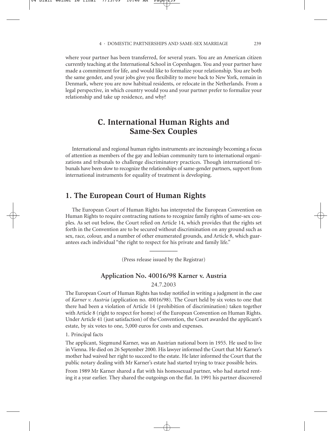where your partner has been transferred, for several years. You are an American citizen currently teaching at the International School in Copenhagen. You and your partner have made a commitment for life, and would like to formalize your relationship. You are both the same gender, and your jobs give you flexibility to move back to New York, remain in Denmark, where you are now habitual residents, or relocate in the Netherlands. From a legal perspective, in which country would you and your partner prefer to formalize your relationship and take up residence, and why?

# **C. International Human Rights and Same-Sex Couples**

International and regional human rights instruments are increasingly becoming a focus of attention as members of the gay and lesbian community turn to international organizations and tribunals to challenge discriminatory practices. Though international tribunals have been slow to recognize the relationships of same-gender partners, support from international instruments for equality of treatment is developing.

# **1. The European Court of Human Rights**

The European Court of Human Rights has interpreted the European Convention on Human Rights to require contracting nations to recognize family rights of same-sex couples. As set out below, the Court relied on Article 14, which provides that the rights set forth in the Convention are to be secured without discrimination on any ground such as sex, race, colour, and a number of other enumerated grounds, and Article 8, which guarantees each individual "the right to respect for his private and family life."

> ————— (Press release issued by the Registrar)

#### **Application No. 40016/98 Karner v. Austria**

#### 24.7.2003

The European Court of Human Rights has today notified in writing a judgment in the case of *Karner v. Austria* (application no. 40016/98). The Court held by six votes to one that there had been a violation of Article 14 (prohibition of discrimination) taken together with Article 8 (right to respect for home) of the European Convention on Human Rights. Under Article 41 (just satisfaction) of the Convention, the Court awarded the applicant's estate, by six votes to one, 5,000 euros for costs and expenses.

1. Principal facts

blair weiner 26 final 7/13/09 10:40 MW

The applicant, Siegmund Karner, was an Austrian national born in 1955. He used to live in Vienna. He died on 26 September 2000. His lawyer informed the Court that Mr Karner's mother had waived her right to succeed to the estate. He later informed the Court that the public notary dealing with Mr Karner's estate had started trying to trace possible heirs.

From 1989 Mr Karner shared a flat with his homosexual partner, who had started renting it a year earlier. They shared the outgoings on the flat. In 1991 his partner discovered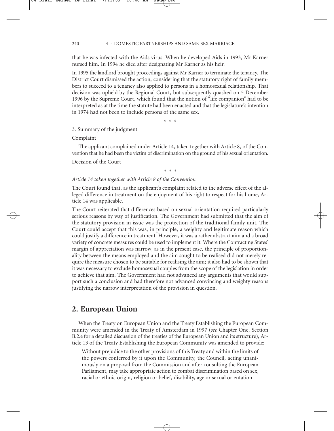that he was infected with the Aids virus. When he developed Aids in 1993, Mr Karner nursed him. In 1994 he died after designating Mr Karner as his heir.

In 1995 the landlord brought proceedings against Mr Karner to terminate the tenancy. The District Court dismissed the action, considering that the statutory right of family members to succeed to a tenancy also applied to persons in a homosexual relationship. That decision was upheld by the Regional Court, but subsequently quashed on 5 December 1996 by the Supreme Court, which found that the notion of "life companion" had to be interpreted as at the time the statute had been enacted and that the legislature's intention in 1974 had not been to include persons of the same sex.

\*\*\*

#### 3. Summary of the judgment

#### Complaint

The applicant complained under Article 14, taken together with Article 8, of the Convention that he had been the victim of discrimination on the ground of his sexual orientation.

Decision of the Court

#### \*\*\*

#### *Article 14 taken together with Article 8 of the Convention*

The Court found that, as the applicant's complaint related to the adverse effect of the alleged difference in treatment on the enjoyment of his right to respect for his home, Article 14 was applicable.

The Court reiterated that differences based on sexual orientation required particularly serious reasons by way of justification. The Government had submitted that the aim of the statutory provision in issue was the protection of the traditional family unit. The Court could accept that this was, in principle, a weighty and legitimate reason which could justify a difference in treatment. However, it was a rather abstract aim and a broad variety of concrete measures could be used to implement it. Where the Contracting States' margin of appreciation was narrow, as in the present case, the principle of proportionality between the means employed and the aim sought to be realised did not merely require the measure chosen to be suitable for realising the aim; it also had to be shown that it was necessary to exclude homosexual couples from the scope of the legislation in order to achieve that aim. The Government had not advanced any arguments that would support such a conclusion and had therefore not advanced convincing and weighty reasons justifying the narrow interpretation of the provision in question.

### **2. European Union**

When the Treaty on European Union and the Treaty Establishing the European Community were amended in the Treaty of Amsterdam in 1997 (*see* Chapter One, Section B.2.e for a detailed discussion of the treaties of the European Union and its structure), Article 13 of the Treaty Establishing the European Community was amended to provide:

Without prejudice to the other provisions of this Treaty and within the limits of the powers conferred by it upon the Community, the Council, acting unanimously on a proposal from the Commission and after consulting the European Parliament, may take appropriate action to combat discrimination based on sex, racial or ethnic origin, religion or belief, disability, age or sexual orientation.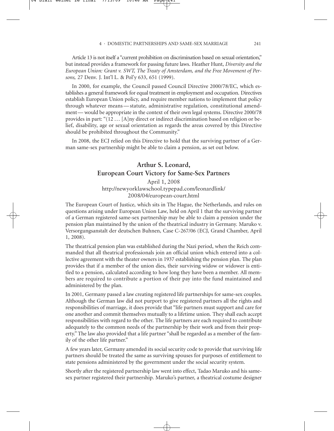04 blair weiner 2e final 7/13/09 10:46 AM Page 241

Article 13 is not itself a "current prohibition on discrimination based on sexual orientation," but instead provides a framework for passing future laws. Heather Hunt, *Diversity and the European Union: Grant v. SWT, The Treaty of Amsterdam, and the Free Movement of Persons,* 27 Denv. J. Int'l L. & Pol'y 633, 651 (1999).

In 2000, for example, the Council passed Council Directive 2000/78/EC, which establishes a general framework for equal treatment in employment and occupation. Directives establish European Union policy, and require member nations to implement that policy through whatever means — statute, administrative regulation, constitutional amendment— would be appropriate in the context of their own legal systems. Directive 2000/78 provides in part: "(12 . . . [A]ny direct or indirect discrimination based on religion or belief, disability, age or sexual orientation as regards the areas covered by this Directive should be prohibited throughout the Community."

In 2008, the ECJ relied on this Directive to hold that the surviving partner of a German same-sex partnership might be able to claim a pension, as set out below.

# **Arthur S. Leonard, European Court Victory for Same-Sex Partners**

April 1, 2008 http://newyorklawschool.typepad.com/leonardlink/ 2008/04/european-court.html

The European Court of Justice, which sits in The Hague, the Netherlands, and rules on questions arising under European Union Law, held on April 1 that the surviving partner of a German registered same-sex partnership may be able to claim a pension under the pension plan maintained by the union of the theatrical industry in Germany. Maruko v. Versorgungsanstalt der deutschen Buhnen, Case C-267/06 (ECJ, Grand Chamber, April 1, 2008).

The theatrical pension plan was established during the Nazi period, when the Reich commanded that all theatrical professionals join an official union which entered into a collective agreement with the theater owners in 1937 establishing the pension plan. The plan provides that if a member of the union dies, their surviving widow or widower is entitled to a pension, calculated according to how long they have been a member. All members are required to contribute a portion of their pay into the fund maintained and administered by the plan.

In 2001, Germany passed a law creating registered life partnerships for same-sex couples. Although the German law did not purport to give registered partners all the rights and responsibilities of marriage, it does provide that "life partners must support and care for one another and commit themselves mutually to a lifetime union. They shall each accept responsibilities with regard to the other. The life partners are each required to contribute adequately to the common needs of the partnership by their work and from their property." The law also provided that a life partner "shall be regarded as a member of the family of the other life partner."

A few years later, Germany amended its social security code to provide that surviving life partners should be treated the same as surviving spouses for purposes of entitlement to state pensions administered by the government under the social security system.

Shortly after the registered partnership law went into effect, Tadao Maruko and his samesex partner registered their partnership. Maruko's partner, a theatrical costume designer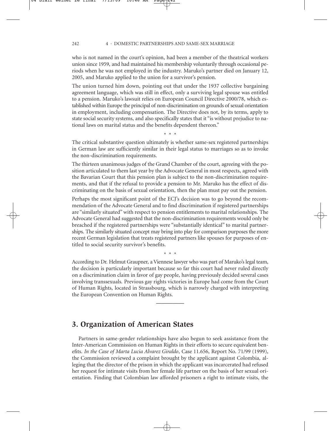who is not named in the court's opinion, had been a member of the theatrical workers union since 1959, and had maintained his membership voluntarily through occasional periods when he was not employed in the industry. Maruko's partner died on January 12, 2005, and Maruko applied to the union for a survivor's pension.

The union turned him down, pointing out that under the 1937 collective bargaining agreement language, which was still in effect, only a surviving legal spouse was entitled to a pension. Maruko's lawsuit relies on European Council Directive 2000/78, which established within Europe the principal of non-discrimination on grounds of sexual orientation in employment, including compensation. The Directive does not, by its terms, apply to state social security systems, and also specifically states that it "is without prejudice to national laws on marital status and the benefits dependent thereon."

\*\*\*

The critical substantive question ultimately is whether same-sex registered partnerships in German law are sufficiently similar in their legal status to marriages so as to invoke the non-discrimination requirements.

The thirteen unanimous judges of the Grand Chamber of the court, agreeing with the position articulated to them last year by the Advocate General in most respects, agreed with the Bavarian Court that this pension plan is subject to the non-discrimination requirements, and that if the refusal to provide a pension to Mr. Maruko has the effect of discriminating on the basis of sexual orientation, then the plan must pay out the pension.

Perhaps the most significant point of the ECJ's decision was to go beyond the recommendation of the Advocate General and to find discrimination if registered partnerships are "similarly situated" with respect to pension entitlements to marital relationships. The Advocate General had suggested that the non-discrimination requirements would only be breached if the registered partnerships were "substantially identical" to marital partnerships. The similarly situated concept may bring into play for comparison purposes the more recent German legislation that treats registered partners like spouses for purposes of entitled to social security survivor's benefits.

According to Dr. Helmut Graupner, a Viennese lawyer who was part of Maruko's legal team, the decision is particularly important because so far this court had never ruled directly on a discrimination claim in favor of gay people, having previously decided several cases involving transsexuals. Previous gay rights victories in Europe had come from the Court of Human Rights, located in Strassbourg, which is narrowly charged with interpreting the European Convention on Human Rights.

—————

\*\*\*

# **3. Organization of American States**

Partners in same-gender relationships have also begun to seek assistance from the Inter-American Commission on Human Rights in their efforts to secure equivalent benefits. *In the Case of Marta Lucia Alvarez Giraldo*, Case 11.656, Report No. 71/99 (1999), the Commission reviewed a complaint brought by the applicant against Colombia, alleging that the director of the prison in which the applicant was incarcerated had refused her request for intimate visits from her female life partner on the basis of her sexual orientation. Finding that Colombian law afforded prisoners a right to intimate visits, the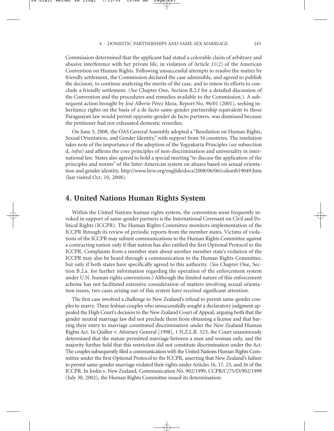04 blair weiner 2e final 7/13/09 10:46 AM Page 243

Commission determined that the applicant had stated a colorable claim of arbitrary and abusive interference with her private life, in violation of Article 11(2) of the American Convention on Human Rights. Following unsuccessful attempts to resolve the matter by friendly settlement, the Commission declared the case admissible, and agreed to publish the decision, to continue analyzing the merits of the case, and to renew its efforts to conclude a friendly settlement. (*See* Chapter One, Section B.2.f for a detailed discussion of the Convention and the procedures and remedies available to the Commission.). A subsequent action brought by *José Alberto Pérez Meza*, Report No. 96/01 (2001), seeking inheritance rights on the basis of a de facto same-gender partnership equivalent to those Paraguayan law would permit opposite-gender de facto partners, was dismissed because the petitioner had not exhausted domestic remedies.

On June 3, 2008, the OAS General Assembly adopted a "Resolution on Human Rights, Sexual Orientation, and Gender Identity," with support from 34 countries. The resolution takes note of the importance of the adoption of the Yogyakarta Principles (*see* subsection d, *infra*) and affirms the core principles of non-discrimination and universality in international law. States also agreed to hold a special meeting "to discuss the application of the principles and norms" of the Inter-American system on abuses based on sexual orientation and gender identity, http://www.hrw.org/english/docs/2008/06/06/colomb19049.htm (last visited Oct. 10, 2008).

## **4. United Nations Human Rights System**

Within the United Nations human rights system, the convention most frequently invoked in support of same-gender partners is the International Covenant on Civil and Political Rights (ICCPR). The Human Rights Committee monitors implementation of the ICCPR through its review of periodic reports from the member states. Victims of violations of the ICCPR may submit communications to the Human Rights Committee against a contracting nation only if that nation has also ratified the first Optional Protocol to the ICCPR. Complaints from a member state about another member state's violation of the ICCPR may also be heard through a communication to the Human Rights Committee, but only if both states have specifically agreed to this authority. (*See* Chapter One, Section B.2.a. for further information regarding the operation of the enforcement system under U.N. human rights conventions.) Although the limited nature of this enforcement scheme has not facilitated extensive consideration of matters involving sexual orientation issues, two cases arising out of this system have received significant attention.

The first case involved a challenge to New Zealand's refusal to permit same-gender couples to marry. Three lesbian couples who unsuccessfully sought a declaratory judgment appealed the High Court's decision to the New Zealand Court of Appeal, arguing both that the gender neutral marriage law did not preclude them from obtaining a license and that barring their entry to marriage constituted discrimination under the New Zealand Human Rights Act. In Quilter v. Attorney General [1998], 1 N.Z.L.R. 523, the Court unanimously determined that the statute permitted marriage between a man and woman only, and the majority further held that this restriction did not constitute discrimination under the Act. The couples subsequently filed a communication with the United Nations Human Rights Committee under the first Optional Protocol to the ICCPR, asserting that New Zealand's failure to permit same-gender marriage violated their rights under Articles 16, 17, 23, and 26 of the ICCPR. In Joslin v. New Zealand, Communication No. 902/1999, CCPR/C/75/D/902/1999 (July 30, 2002), the Human Rights Committee issued its determination: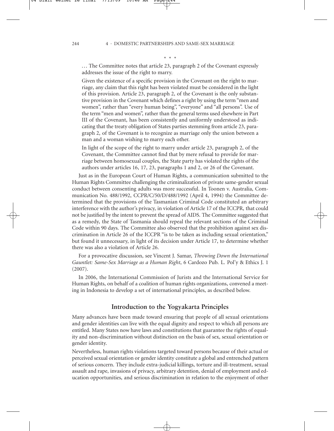#### \*\*\*

... The Committee notes that article 23, paragraph 2 of the Covenant expressly addresses the issue of the right to marry.

Given the existence of a specific provision in the Covenant on the right to marriage, any claim that this right has been violated must be considered in the light of this provision. Article 23, paragraph 2, of the Covenant is the only substantive provision in the Covenant which defines a right by using the term "men and women", rather than "every human being", "everyone" and "all persons". Use of the term "men and women", rather than the general terms used elsewhere in Part III of the Covenant, has been consistently and uniformly understood as indicating that the treaty obligation of States parties stemming from article 23, paragraph 2, of the Covenant is to recognize as marriage only the union between a man and a woman wishing to marry each other.

In light of the scope of the right to marry under article 23, paragraph 2, of the Covenant, the Committee cannot find that by mere refusal to provide for marriage between homosexual couples, the State party has violated the rights of the authors under articles 16, 17, 23, paragraphs 1 and 2, or 26 of the Covenant.

Just as in the European Court of Human Rights, a communication submitted to the Human Rights Committee challenging the criminalization of private same-gender sexual conduct between consenting adults was more successful. In Toonen v. Australia, Communication No. 488/1992, CCPR/C/50/D/488/1992 (April 4, 1994) the Committee determined that the provisions of the Tasmanian Criminal Code constituted an arbitrary interference with the author's privacy, in violation of Article 17 of the ICCPR, that could not be justified by the intent to prevent the spread of AIDS. The Committee suggested that as a remedy, the State of Tasmania should repeal the relevant sections of the Criminal Code within 90 days. The Committee also observed that the prohibition against sex discrimination in Article 26 of the ICCPR "is to be taken as including sexual orientation," but found it unnecessary, in light of its decision under Article 17, to determine whether there was also a violation of Article 26.

For a provocative discussion, see Vincent J. Samar, *Throwing Down the International Gauntlet: Same-Sex Marriage as a Human Right*, 6 Cardozo Pub. L. Pol'y & Ethics J. 1 (2007).

In 2006, the International Commission of Jurists and the International Service for Human Rights, on behalf of a coalition of human rights organizations, convened a meeting in Indonesia to develop a set of international principles, as described below.

#### **Introduction to the Yogyakarta Principles**

Many advances have been made toward ensuring that people of all sexual orientations and gender identities can live with the equal dignity and respect to which all persons are entitled. Many States now have laws and constitutions that guarantee the rights of equality and non-discrimination without distinction on the basis of sex, sexual orientation or gender identity.

Nevertheless, human rights violations targeted toward persons because of their actual or perceived sexual orientation or gender identity constitute a global and entrenched pattern of serious concern. They include extra-judicial killings, torture and ill-treatment, sexual assault and rape, invasions of privacy, arbitrary detention, denial of employment and education opportunities, and serious discrimination in relation to the enjoyment of other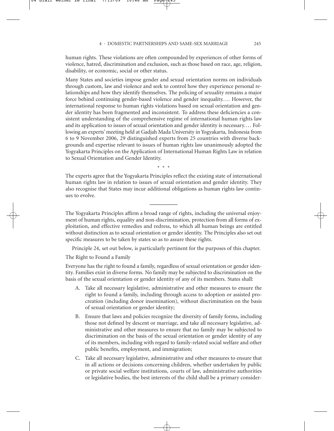human rights. These violations are often compounded by experiences of other forms of violence, hatred, discrimination and exclusion, such as those based on race, age, religion, disability, or economic, social or other status.

Many States and societies impose gender and sexual orientation norms on individuals through custom, law and violence and seek to control how they experience personal relationships and how they identify themselves. The policing of sexuality remains a major force behind continuing gender-based violence and gender inequality.... However, the international response to human rights violations based on sexual orientation and gender identity has been fragmented and inconsistent. To address these deficiencies a consistent understanding of the comprehensive regime of international human rights law and its application to issues of sexual orientation and gender identity is necessary.... Following an experts' meeting held at Gadjah Mada University in Yogyakarta, Indonesia from 6 to 9 November 2006, 29 distinguished experts from 25 countries with diverse backgrounds and expertise relevant to issues of human rights law unanimously adopted the Yogyakarta Principles on the Application of International Human Rights Law in relation to Sexual Orientation and Gender Identity.

The experts agree that the Yogyakarta Principles reflect the existing state of international human rights law in relation to issues of sexual orientation and gender identity. They also recognise that States may incur additional obligations as human rights law continues to evolve.

—————

\*\*\*

The Yogyakarta Principles affirm a broad range of rights, including the universal enjoyment of human rights, equality and non-discrimination, protection from all forms of exploitation, and effective remedies and redress, to which all human beings are entitled without distinction as to sexual orientation or gender identity. The Principles also set out specific measures to be taken by states so as to assure these rights.

Principle 24, set out below, is particularly pertinent for the purposes of this chapter.

The Right to Found a Family

04 blair weiner 2e final 7/13/09 10:46 AM Page 245

Everyone has the right to found a family, regardless of sexual orientation or gender identity. Families exist in diverse forms. No family may be subjected to discrimination on the basis of the sexual orientation or gender identity of any of its members. States shall:

- A. Take all necessary legislative, administrative and other measures to ensure the right to found a family, including through access to adoption or assisted procreation (including donor insemination), without discrimination on the basis of sexual orientation or gender identity;
- B. Ensure that laws and policies recognize the diversity of family forms, including those not defined by descent or marriage, and take all necessary legislative, administrative and other measures to ensure that no family may be subjected to discrimination on the basis of the sexual orientation or gender identity of any of its members, including with regard to family-related social welfare and other public benefits, employment, and immigration;
- C. Take all necessary legislative, administrative and other measures to ensure that in all actions or decisions concerning children, whether undertaken by public or private social welfare institutions, courts of law, administrative authorities or legislative bodies, the best interests of the child shall be a primary consider-